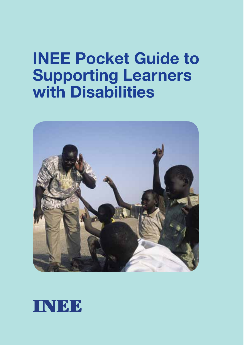# **INEE Pocket Guide to Supporting Learners with Disabilities**



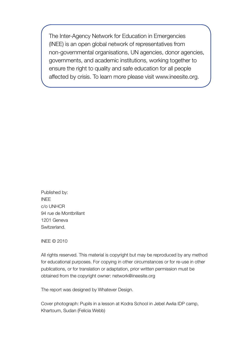The Inter-Agency Network for Education in Emergencies (INEE) is an open global network of representatives from non-governmental organisations, UN agencies, donor agencies, governments, and academic institutions, working together to ensure the right to quality and safe education for all people affected by crisis. To learn more please visit www.ineesite.org.

Published by: INEE c/o UNHCR 94 rue de Montbrillant 1201 Geneva Switzerland.

INEE © 2010

All rights reserved. This material is copyright but may be reproduced by any method for educational purposes. For copying in other circumstances or for re-use in other publications, or for translation or adaptation, prior written permission must be obtained from the copyright owner: network@ineesite.org

The report was designed by Whatever Design.

Cover photograph: Pupils in a lesson at Kodra School in Jebel Awlia IDP camp, Khartoum, Sudan (Felicia Webb)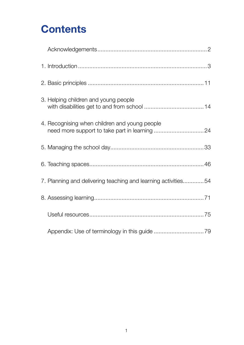## **Contents**

| 3. Helping children and young people                          |  |
|---------------------------------------------------------------|--|
| 4. Recognising when children and young people                 |  |
|                                                               |  |
|                                                               |  |
| 7. Planning and delivering teaching and learning activities54 |  |
|                                                               |  |
|                                                               |  |
|                                                               |  |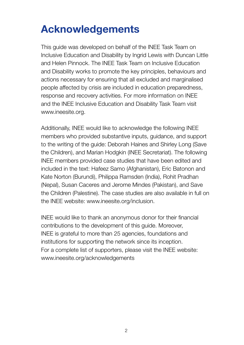## **Acknowledgements**

This guide was developed on behalf of the INEE Task Team on Inclusive Education and Disability by Ingrid Lewis with Duncan Little and Helen Pinnock. The INEE Task Team on Inclusive Education and Disability works to promote the key principles, behaviours and actions necessary for ensuring that all excluded and marginalised people affected by crisis are included in education preparedness, response and recovery activities. For more information on INEE and the INEE Inclusive Education and Disability Task Team visit www.ineesite.org.

Additionally, INEE would like to acknowledge the following INEE members who provided substantive inputs, guidance, and support to the writing of the guide: Deborah Haines and Shirley Long (Save the Children), and Marian Hodgkin (INEE Secretariat). The following INEE members provided case studies that have been edited and included in the text: Hafeez Samo (Afghanistan), Eric Batonon and Kate Norton (Burundi), Philippa Ramsden (India), Rohit Pradhan (Nepal), Susan Caceres and Jerome Mindes (Pakistan), and Save the Children (Palestine). The case studies are also available in full on the INEE website: www.ineesite.org/inclusion.

INEE would like to thank an anonymous donor for their financial contributions to the development of this guide. Moreover, INEE is grateful to more than 25 agencies, foundations and institutions for supporting the network since its inception. For a complete list of supporters, please visit the INEE website: www.ineesite.org/acknowledgements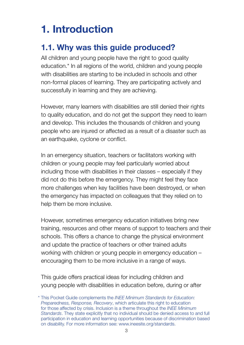## **1. Introduction**

## **1.1. Why was this guide produced?**

All children and young people have the right to good quality education.\* In all regions of the world, children and young people with disabilities are starting to be included in schools and other non-formal places of learning. They are participating actively and successfully in learning and they are achieving.

However, many learners with disabilities are still denied their rights to quality education, and do not get the support they need to learn and develop. This includes the thousands of children and young people who are injured or affected as a result of a disaster such as an earthquake, cyclone or conflict.

In an emergency situation, teachers or facilitators working with children or young people may feel particularly worried about including those with disabilities in their classes – especially if they did not do this before the emergency. They might feel they face more challenges when key facilities have been destroyed, or when the emergency has impacted on colleagues that they relied on to help them be more inclusive.

However, sometimes emergency education initiatives bring new training, resources and other means of support to teachers and their schools. This offers a chance to change the physical environment and update the practice of teachers or other trained adults working with children or young people in emergency education – encouraging them to be more inclusive in a range of ways.

This guide offers practical ideas for including children and young people with disabilities in education before, during or after

<sup>\*</sup> This Pocket Guide complements the *INEE Minimum Standards for Education: Preparedness, Response, Recovery*, which articulate this right to education for those affected by crisis. Inclusion is a theme throughout the *INEE Minimum Standards*. They state explicitly that no individual should be denied access to and full participation in education and learning opportunities because of discrimination based on disability. For more information see: www.ineesite.org/standards.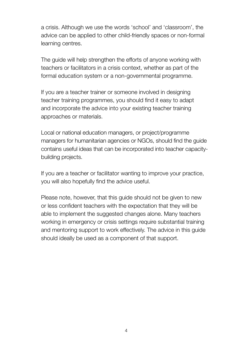a crisis. Although we use the words 'school' and 'classroom', the advice can be applied to other child-friendly spaces or non-formal learning centres.

The guide will help strengthen the efforts of anyone working with teachers or facilitators in a crisis context, whether as part of the formal education system or a non-governmental programme.

If you are a teacher trainer or someone involved in designing teacher training programmes, you should find it easy to adapt and incorporate the advice into your existing teacher training approaches or materials.

Local or national education managers, or project/programme managers for humanitarian agencies or NGOs, should find the guide contains useful ideas that can be incorporated into teacher capacitybuilding projects.

If you are a teacher or facilitator wanting to improve your practice, you will also hopefully find the advice useful.

Please note, however, that this guide should not be given to new or less confident teachers with the expectation that they will be able to implement the suggested changes alone. Many teachers working in emergency or crisis settings require substantial training and mentoring support to work effectively. The advice in this guide should ideally be used as a component of that support.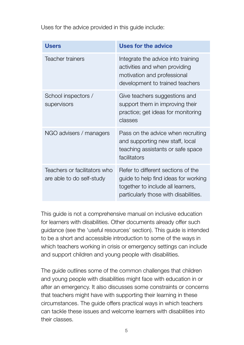Uses for the advice provided in this guide include:

| <b>Users</b>                                              | Uses for the advice                                                                                                                                      |
|-----------------------------------------------------------|----------------------------------------------------------------------------------------------------------------------------------------------------------|
| Teacher trainers                                          | Integrate the advice into training<br>activities and when providing<br>motivation and professional<br>development to trained teachers                    |
| School inspectors /<br>supervisors                        | Give teachers suggestions and<br>support them in improving their<br>practice; get ideas for monitoring<br>classes                                        |
| NGO advisers / managers                                   | Pass on the advice when recruiting<br>and supporting new staff, local<br>teaching assistants or safe space<br>facilitators                               |
| Teachers or facilitators who<br>are able to do self-study | Refer to different sections of the<br>guide to help find ideas for working<br>together to include all learners,<br>particularly those with disabilities. |

This guide is not a comprehensive manual on inclusive education for learners with disabilities. Other documents already offer such guidance (see the 'useful resources' section). This guide is intended to be a short and accessible introduction to some of the ways in which teachers working in crisis or emergency settings can include and support children and young people with disabilities.

The guide outlines some of the common challenges that children and young people with disabilities might face with education in or after an emergency. It also discusses some constraints or concerns that teachers might have with supporting their learning in these circumstances. The guide offers practical ways in which teachers can tackle these issues and welcome learners with disabilities into their classes.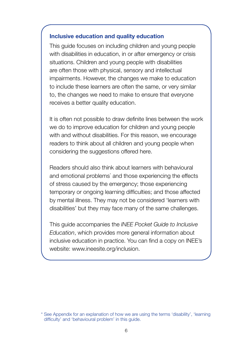#### **Inclusive education and quality education**

This guide focuses on including children and young people with disabilities in education, in or after emergency or crisis situations. Children and young people with disabilities are often those with physical, sensory and intellectual impairments. However, the changes we make to education to include these learners are often the same, or very similar to, the changes we need to make to ensure that everyone receives a better quality education.

It is often not possible to draw definite lines between the work we do to improve education for children and young people with and without disabilities. For this reason, we encourage readers to think about all children and young people when considering the suggestions offered here.

Readers should also think about learners with behavioural and emotional problems<sup>\*</sup> and those experiencing the effects of stress caused by the emergency; those experiencing temporary or ongoing learning difficulties; and those affected by mental illness. They may not be considered 'learners with disabilities' but they may face many of the same challenges.

This guide accompanies the *INEE Pocket Guide to Inclusive Education*, which provides more general information about inclusive education in practice. You can find a copy on INEE's website: www.ineesite.org/inclusion.

<sup>\*</sup> See Appendix for an explanation of how we are using the terms 'disability', 'learning difficulty' and 'behavioural problem' in this guide.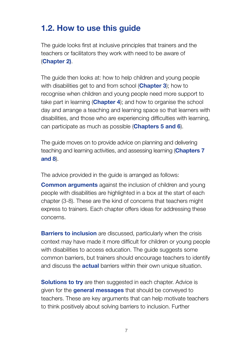## **1.2. How to use this guide**

The guide looks first at inclusive principles that trainers and the teachers or facilitators they work with need to be aware of (**Chapter 2)**.

The guide then looks at: how to help children and young people with disabilities get to and from school (**Chapter 3**); how to recognise when children and young people need more support to take part in learning (**Chapter 4**); and how to organise the school day and arrange a teaching and learning space so that learners with disabilities, and those who are experiencing difficulties with learning, can participate as much as possible (**Chapters 5 and 6**).

The guide moves on to provide advice on planning and delivering teaching and learning activities, and assessing learning (**Chapters 7 and 8**).

The advice provided in the guide is arranged as follows:

**Common arguments** against the inclusion of children and young people with disabilities are highlighted in a box at the start of each chapter (3-8). These are the kind of concerns that teachers might express to trainers. Each chapter offers ideas for addressing these concerns.

**Barriers to inclusion** are discussed, particularly when the crisis context may have made it more difficult for children or young people with disabilities to access education. The quide suggests some common barriers, but trainers should encourage teachers to identify and discuss the **actual** barriers within their own unique situation.

**Solutions to try** are then suggested in each chapter. Advice is given for the **general messages** that should be conveyed to teachers. These are key arguments that can help motivate teachers to think positively about solving barriers to inclusion. Further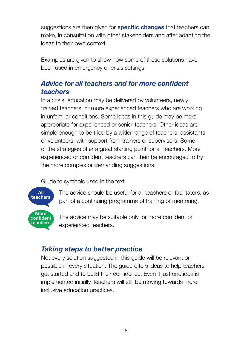suggestions are then given for **specific changes** that teachers can make, in consultation with other stakeholders and after adapting the ideas to their own context.

Examples are given to show how some of these solutions have been used in emergency or crisis settings.

## *Advice for all teachers and for more confident teachers*

In a crisis, education may be delivered by volunteers, newly trained teachers, or more experienced teachers who are working in unfamiliar conditions. Some ideas in this guide may be more appropriate for experienced or senior teachers. Other ideas are simple enough to be tried by a wider range of teachers, assistants or volunteers, with support from trainers or supervisors. Some of the strategies offer a great starting point for all teachers. More experienced or confident teachers can then be encouraged to try the more complex or demanding suggestions.

Guide to symbols used in the text



The advice should be useful for all teachers or facilitators, as part of a continuing programme of training or mentoring.

The advice may be suitable only for more confident or experienced teachers.

## *Taking steps to better practice*

Not every solution suggested in this guide will be relevant or possible in every situation. The guide offers ideas to help teachers get started and to build their confidence. Even if just one idea is implemented initially, teachers will still be moving towards more inclusive education practices.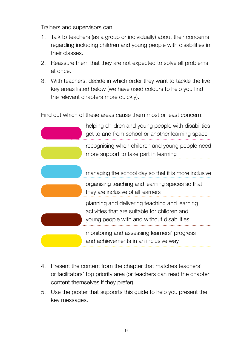Trainers and supervisors can:

- 1. Talk to teachers (as a group or individually) about their concerns regarding including children and young people with disabilities in their classes.
- 2. Reassure them that they are not expected to solve all problems at once.
- 3. With teachers, decide in which order they want to tackle the five key areas listed below (we have used colours to help you find the relevant chapters more quickly).

Find out which of these areas cause them most or least concern:



- 4. Present the content from the chapter that matches teachers' or facilitators' top priority area (or teachers can read the chapter content themselves if they prefer).
- 5. Use the poster that supports this guide to help you present the key messages.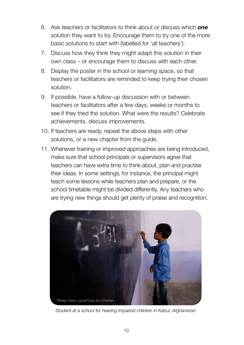- 6. Ask teachers or facilitators to think about or discuss which *one* solution they want to try. Encourage them to try one of the more basic solutions to start with (labelled for 'all teachers').
- 7. Discuss how they think they might adapt this solution in their own class – or encourage them to discuss with each other.
- 8. Display the poster in the school or learning space, so that teachers or facilitators are reminded to keep trying their chosen solution.
- 9. If possible, have a follow-up discussion with or between teachers or facilitators after a few days, weeks or months to see if they tried the solution. What were the results? Celebrate achievements, discuss improvements.
- 10. If teachers are ready, repeat the above steps with other solutions, or a new chapter from the guide.
- 11. Whenever training or improved approaches are being introduced, make sure that school principals or supervisors agree that teachers can have extra time to think about, plan and practise their ideas. In some settings, for instance, the principal might teach some lessons while teachers plan and prepare, or the school timetable might be divided differently. Any teachers who are trying new things should get plenty of praise and recognition.



*Student at a school for hearing impaired children in Kabul, Afghanistan*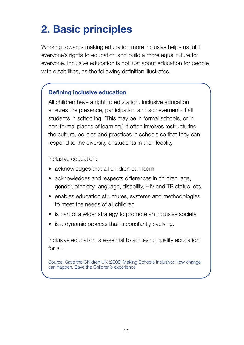# **2. Basic principles**

Working towards making education more inclusive helps us fulfil everyone's rights to education and build a more equal future for everyone. Inclusive education is not just about education for people with disabilities, as the following definition illustrates.

#### **Defining inclusive education**

All children have a right to education. Inclusive education ensures the presence, participation and achievement of all students in schooling. (This may be in formal schools, or in non-formal places of learning.) It often involves restructuring the culture, policies and practices in schools so that they can respond to the diversity of students in their locality.

Inclusive education:

- acknowledges that all children can learn
- acknowledges and respects differences in children: age, gender, ethnicity, language, disability, HIV and TB status, etc.
- enables education structures, systems and methodologies to meet the needs of all children
- is part of a wider strategy to promote an inclusive society
- is a dynamic process that is constantly evolving.

Inclusive education is essential to achieving quality education for all.

Source: Save the Children UK (2008) Making Schools Inclusive: How change can happen. Save the Children's experience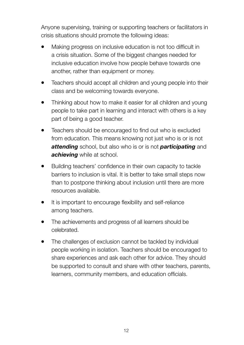Anyone supervising, training or supporting teachers or facilitators in crisis situations should promote the following ideas:

- Making progress on inclusive education is not too difficult in a crisis situation. Some of the biggest changes needed for inclusive education involve how people behave towards one another, rather than equipment or money.
- Teachers should accept all children and young people into their class and be welcoming towards everyone.
- Thinking about how to make it easier for all children and young people to take part in learning and interact with others is a key part of being a good teacher.
- Teachers should be encouraged to find out who is excluded from education. This means knowing not just who is or is not *attending* school, but also who is or is not *participating* and *achieving* while at school.
- Building teachers' confidence in their own capacity to tackle barriers to inclusion is vital. It is better to take small steps now than to postpone thinking about inclusion until there are more resources available.
- It is important to encourage flexibility and self-reliance among teachers.
- The achievements and progress of all learners should be celebrated.
- The challenges of exclusion cannot be tackled by individual people working in isolation. Teachers should be encouraged to share experiences and ask each other for advice. They should be supported to consult and share with other teachers, parents, learners, community members, and education officials.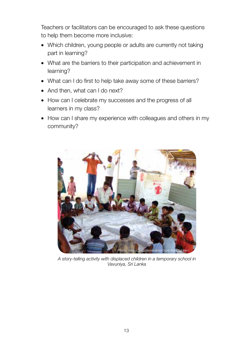Teachers or facilitators can be encouraged to ask these questions to help them become more inclusive:

- Which children, young people or adults are currently not taking part in learning?
- What are the barriers to their participation and achievement in learning?
- What can I do first to help take away some of these barriers?
- And then, what can I do next?
- How can I celebrate my successes and the progress of all learners in my class?
- How can I share my experience with colleagues and others in my community?



*A story-telling activity with displaced children in a temporary school in Vavuniya, Sri Lanka*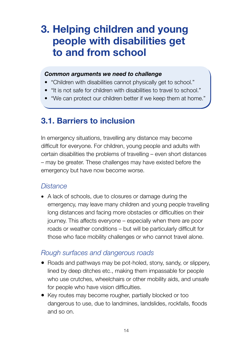## **3. Helping children and young people with disabilities get to and from school**

#### *Common arguments we need to challenge*

- "Children with disabilities cannot physically get to school."
- "It is not safe for children with disabilities to travel to school."
- "We can protect our children better if we keep them at home."

## **3.1. Barriers to inclusion**

In emergency situations, travelling any distance may become difficult for everyone. For children, young people and adults with certain disabilities the problems of travelling – even short distances – may be greater. These challenges may have existed before the emergency but have now become worse.

### *Distance*

• A lack of schools, due to closures or damage during the emergency, may leave many children and young people travelling long distances and facing more obstacles or difficulties on their journey. This affects everyone – especially when there are poor roads or weather conditions – but will be particularly difficult for those who face mobility challenges or who cannot travel alone.

#### *Rough surfaces and dangerous roads*

- Roads and pathways may be pot-holed, stony, sandy, or slippery, lined by deep ditches etc., making them impassable for people who use crutches, wheelchairs or other mobility aids, and unsafe for people who have vision difficulties.
- Key routes may become rougher, partially blocked or too dangerous to use, due to landmines, landslides, rockfalls, floods and so on.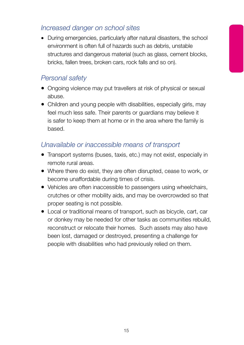## *Increased danger on school sites*

• During emergencies, particularly after natural disasters, the school environment is often full of hazards such as debris, unstable structures and dangerous material (such as glass, cement blocks, bricks, fallen trees, broken cars, rock falls and so on).

## *Personal safety*

- Ongoing violence may put travellers at risk of physical or sexual abuse.
- Children and young people with disabilities, especially girls, may feel much less safe. Their parents or guardians may believe it is safer to keep them at home or in the area where the family is based.

### *Unavailable or inaccessible means of transport*

- Transport systems (buses, taxis, etc.) may not exist, especially in remote rural areas.
- Where there do exist, they are often disrupted, cease to work, or become unaffordable during times of crisis.
- Vehicles are often inaccessible to passengers using wheelchairs, crutches or other mobility aids, and may be overcrowded so that proper seating is not possible.
- Local or traditional means of transport, such as bicycle, cart, car or donkey may be needed for other tasks as communities rebuild, reconstruct or relocate their homes. Such assets may also have been lost, damaged or destroyed, presenting a challenge for people with disabilities who had previously relied on them.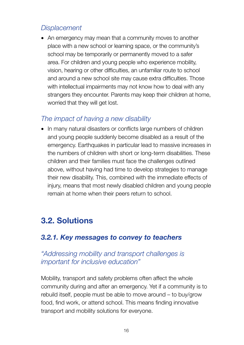## *Displacement*

• An emergency may mean that a community moves to another place with a new school or learning space, or the community's school may be temporarily or permanently moved to a safer area. For children and young people who experience mobility, vision, hearing or other difficulties, an unfamiliar route to school and around a new school site may cause extra difficulties. Those with intellectual impairments may not know how to deal with any strangers they encounter. Parents may keep their children at home, worried that they will get lost.

## *The impact of having a new disability*

• In many natural disasters or conflicts large numbers of children and young people suddenly become disabled as a result of the emergency. Earthquakes in particular lead to massive increases in the numbers of children with short or long-term disabilities. These children and their families must face the challenges outlined above, without having had time to develop strategies to manage their new disability. This, combined with the immediate effects of injury, means that most newly disabled children and young people remain at home when their peers return to school.

## **3.2. Solutions**

## *3.2.1. Key messages to convey to teachers*

## *"Addressing mobility and transport challenges is important for inclusive education"*

Mobility, transport and safety problems often affect the whole community during and after an emergency. Yet if a community is to rebuild itself, people must be able to move around – to buy/grow food, find work, or attend school. This means finding innovative transport and mobility solutions for everyone.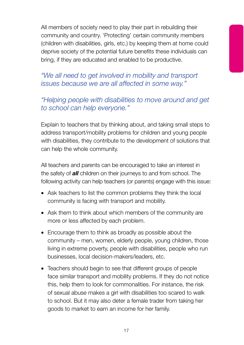All members of society need to play their part in rebuilding their community and country. 'Protecting' certain community members (children with disabilities, girls, etc.) by keeping them at home could deprive society of the potential future benefits these individuals can bring, if they are educated and enabled to be productive.

*"We all need to get involved in mobility and transport issues because we are all affected in some way."*

## *"Helping people with disabilities to move around and get to school can help everyone."*

Explain to teachers that by thinking about, and taking small steps to address transport/mobility problems for children and young people with disabilities, they contribute to the development of solutions that can help the whole community.

All teachers and parents can be encouraged to take an interest in the safety of *all* children on their journeys to and from school. The following activity can help teachers (or parents) engage with this issue:

- Ask teachers to list the common problems they think the local community is facing with transport and mobility.
- Ask them to think about which members of the community are more or less affected by each problem.
- Encourage them to think as broadly as possible about the community – men, women, elderly people, young children, those living in extreme poverty, people with disabilities, people who run businesses, local decision-makers/leaders, etc.
- Teachers should begin to see that different groups of people face similar transport and mobility problems. If they do not notice this, help them to look for commonalities. For instance, the risk of sexual abuse makes a girl with disabilities too scared to walk to school. But it may also deter a female trader from taking her goods to market to earn an income for her family.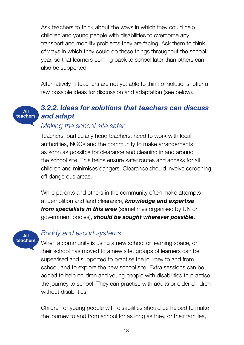Ask teachers to think about the ways in which they could help children and young people with disabilities to overcome any transport and mobility problems they are facing. Ask them to think of ways in which they could do these things throughout the school year, so that learners coming back to school later than others can also be supported.

Alternatively, if teachers are not yet able to think of solutions, offer a few possible ideas for discussion and adaptation (see below).

#### *3.2.2. Ideas for solutions that teachers can discuss and adapt* **All teachers**

#### *Making the school site safer*

Teachers, particularly head teachers, need to work with local authorities, NGOs and the community to make arrangements as soon as possible for clearance and cleaning in and around the school site. This helps ensure safer routes and access for all children and minimises dangers. Clearance should involve cordoning off dangerous areas.

While parents and others in the community often make attempts at demolition and land clearance, *knowledge and expertise from specialists in this area* (sometimes organised by UN or government bodies), *should be sought wherever possible*.



#### *Buddy and escort systems*

When a community is using a new school or learning space, or their school has moved to a new site, groups of learners can be supervised and supported to practise the journey to and from school, and to explore the new school site. Extra sessions can be added to help children and young people with disabilities to practise the journey to school. They can practise with adults or older children without disabilities

Children or young people with disabilities should be helped to make the journey to and from school for as long as they, or their families,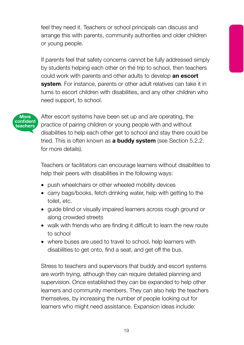feel they need it. Teachers or school principals can discuss and arrange this with parents, community authorities and older children or young people.

If parents feel that safety concerns cannot be fully addressed simply by students helping each other on the trip to school, then teachers could work with parents and other adults to develop **an escort system**. For instance, parents or other adult relatives can take it in turns to escort children with disabilities, and any other children who need support, to school.



After escort systems have been set up and are operating, the practice of pairing children or young people with and without disabilities to help each other get to school and stay there could be tried. This is often known as **a buddy system** (see Section 5.2.2. for more details).

Teachers or facilitators can encourage learners without disabilities to help their peers with disabilities in the following ways:

- push wheelchairs or other wheeled mobility devices
- carry bags/books, fetch drinking water, help with getting to the toilet, etc.
- guide blind or visually impaired learners across rough ground or along crowded streets
- walk with friends who are finding it difficult to learn the new route to school
- where buses are used to travel to school, help learners with disabilities to get onto, find a seat, and get off the bus.

Stress to teachers and supervisors that buddy and escort systems are worth trying, although they can require detailed planning and supervision. Once established they can be expanded to help other learners and community members. They can also help the teachers themselves, by increasing the number of people looking out for learners who might need assistance. Expansion ideas include: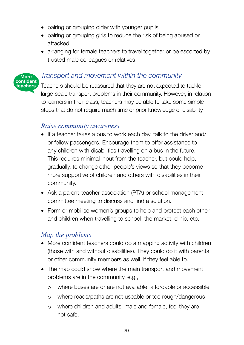- pairing or grouping older with younger pupils
- pairing or grouping girls to reduce the risk of being abused or attacked
- arranging for female teachers to travel together or be escorted by trusted male colleagues or relatives.

#### *Transport and movement within the community*

Teachers should be reassured that they are not expected to tackle large-scale transport problems in their community. However, in relation to learners in their class, teachers may be able to take some simple steps that do not require much time or prior knowledge of disability.

#### *Raise community awareness*

**More confident teachers**

- If a teacher takes a bus to work each day, talk to the driver and/ or fellow passengers. Encourage them to offer assistance to any children with disabilities travelling on a bus in the future. This requires minimal input from the teacher, but could help, gradually, to change other people's views so that they become more supportive of children and others with disabilities in their community.
- Ask a parent-teacher association (PTA) or school management committee meeting to discuss and find a solution.
- Form or mobilise women's groups to help and protect each other and children when travelling to school, the market, clinic, etc.

#### *Map the problems*

- More confident teachers could do a mapping activity with children (those with and without disabilities). They could do it with parents or other community members as well, if they feel able to.
- The map could show where the main transport and movement problems are in the community, e.g.,
	- o where buses are or are not available, affordable or accessible
	- o where roads/paths are not useable or too rough/dangerous
	- o where children and adults, male and female, feel they are not safe.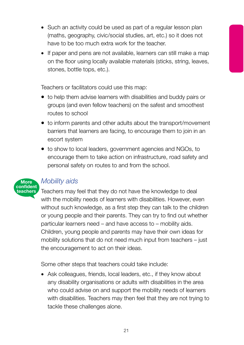- Such an activity could be used as part of a regular lesson plan (maths, geography, civic/social studies, art, etc.) so it does not have to be too much extra work for the teacher.
- If paper and pens are not available, learners can still make a map on the floor using locally available materials (sticks, string, leaves, stones, bottle tops, etc.).

Teachers or facilitators could use this map:

- to help them advise learners with disabilities and buddy pairs or groups (and even fellow teachers) on the safest and smoothest routes to school
- to inform parents and other adults about the transport/movement barriers that learners are facing, to encourage them to join in an escort system
- to show to local leaders, government agencies and NGOs, to encourage them to take action on infrastructure, road safety and personal safety on routes to and from the school.



## *Mobility aids*

Teachers may feel that they do not have the knowledge to deal with the mobility needs of learners with disabilities. However, even without such knowledge, as a first step they can talk to the children or young people and their parents. They can try to find out whether particular learners need – and have access to – mobility aids. Children, young people and parents may have their own ideas for mobility solutions that do not need much input from teachers – just the encouragement to act on their ideas.

Some other steps that teachers could take include:

• Ask colleagues, friends, local leaders, etc., if they know about any disability organisations or adults with disabilities in the area who could advise on and support the mobility needs of learners with disabilities. Teachers may then feel that they are not trying to tackle these challenges alone.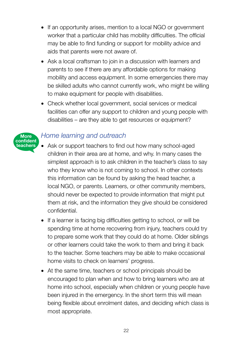- If an opportunity arises, mention to a local NGO or government worker that a particular child has mobility difficulties. The official may be able to find funding or support for mobility advice and aids that parents were not aware of.
- Ask a local craftsman to join in a discussion with learners and parents to see if there are any affordable options for making mobility and access equipment. In some emergencies there may be skilled adults who cannot currently work, who might be willing to make equipment for people with disabilities.
- Check whether local government, social services or medical facilities can offer any support to children and young people with disabilities – are they able to get resources or equipment?

## *Home learning and outreach*

**More confident teachers**

- Ask or support teachers to find out how many school-aged children in their area are at home, and why. In many cases the simplest approach is to ask children in the teacher's class to say who they know who is not coming to school. In other contexts this information can be found by asking the head teacher, a local NGO, or parents. Learners, or other community members, should never be expected to provide information that might put them at risk, and the information they give should be considered confidential.
- If a learner is facing big difficulties getting to school, or will be spending time at home recovering from injury, teachers could try to prepare some work that they could do at home. Older siblings or other learners could take the work to them and bring it back to the teacher. Some teachers may be able to make occasional home visits to check on learners' progress.
- At the same time, teachers or school principals should be encouraged to plan when and how to bring learners who are at home into school, especially when children or young people have been injured in the emergency. In the short term this will mean being flexible about enrolment dates, and deciding which class is most appropriate.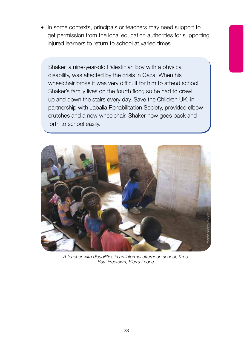• In some contexts, principals or teachers may need support to get permission from the local education authorities for supporting injured learners to return to school at varied times.

Shaker, a nine-year-old Palestinian boy with a physical disability, was affected by the crisis in Gaza. When his wheelchair broke it was very difficult for him to attend school. Shaker's family lives on the fourth floor, so he had to crawl up and down the stairs every day. Save the Children UK, in partnership with Jabalia Rehabilitation Society, provided elbow crutches and a new wheelchair. Shaker now goes back and forth to school easily.



*A teacher with disabilities in an informal afternoon school, Kroo Bay, Freetown, Sierra Leone*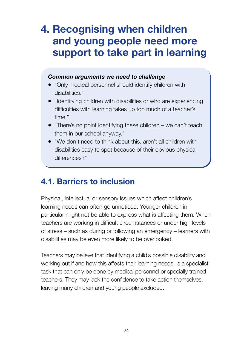## **4. Recognising when children and young people need more support to take part in learning**

#### *Common arguments we need to challenge*

- "Only medical personnel should identify children with disabilities."
- "Identifying children with disabilities or who are experiencing difficulties with learning takes up too much of a teacher's time."
- "There's no point identifying these children we can't teach them in our school anyway."
- "We don't need to think about this, aren't all children with disabilities easy to spot because of their obvious physical differences?"

## **4.1. Barriers to inclusion**

Physical, intellectual or sensory issues which affect children's learning needs can often go unnoticed. Younger children in particular might not be able to express what is affecting them. When teachers are working in difficult circumstances or under high levels of stress – such as during or following an emergency – learners with disabilities may be even more likely to be overlooked.

Teachers may believe that identifying a child's possible disability and working out if and how this affects their learning needs, is a specialist task that can only be done by medical personnel or specially trained teachers. They may lack the confidence to take action themselves, leaving many children and young people excluded.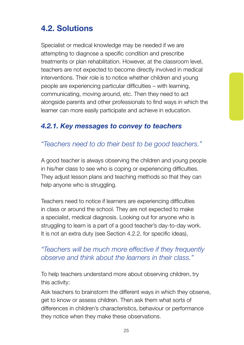## **4.2. Solutions**

Specialist or medical knowledge may be needed if we are attempting to diagnose a specific condition and prescribe treatments or plan rehabilitation. However, at the classroom level, teachers are not expected to become directly involved in medical interventions. Their role is to notice whether children and young people are experiencing particular difficulties – with learning, communicating, moving around, etc. Then they need to act alongside parents and other professionals to find ways in which the learner can more easily participate and achieve in education.

## *4.2.1. Key messages to convey to teachers*

## *"Teachers need to do their best to be good teachers."*

A good teacher is always observing the children and young people in his/her class to see who is coping or experiencing difficulties. They adjust lesson plans and teaching methods so that they can help anyone who is struggling.

Teachers need to notice if learners are experiencing difficulties in class or around the school. They are not expected to make a specialist, medical diagnosis. Looking out for anyone who is struggling to learn is a part of a good teacher's day-to-day work. It is not an extra duty (see Section 4.2.2. for specific ideas),

### *"Teachers will be much more effective if they frequently observe and think about the learners in their class."*

To help teachers understand more about observing children, try this activity:

Ask teachers to brainstorm the different ways in which they observe, get to know or assess children. Then ask them what sorts of differences in children's characteristics, behaviour or performance they notice when they make these observations.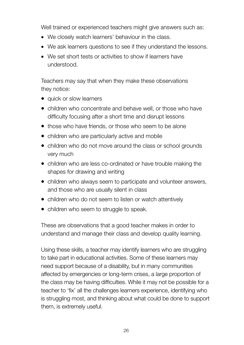Well trained or experienced teachers might give answers such as:

- We closely watch learners' behaviour in the class.
- We ask learners questions to see if they understand the lessons.
- We set short tests or activities to show if learners have understood.

Teachers may say that when they make these observations they notice:

- quick or slow learners
- children who concentrate and behave well, or those who have difficulty focusing after a short time and disrupt lessons
- those who have friends, or those who seem to be alone
- children who are particularly active and mobile
- children who do not move around the class or school grounds very much
- children who are less co-ordinated or have trouble making the shapes for drawing and writing
- children who always seem to participate and volunteer answers, and those who are usually silent in class
- children who do not seem to listen or watch attentively
- children who seem to struggle to speak.

These are observations that a good teacher makes in order to understand and manage their class and develop quality learning.

Using these skills, a teacher may identify learners who are struggling to take part in educational activities. Some of these learners may need support because of a disability, but in many communities affected by emergencies or long-term crises, a large proportion of the class may be having difficulties. While it may not be possible for a teacher to 'fix' all the challenges learners experience, identifying who is struggling most, and thinking about what could be done to support them, is extremely useful.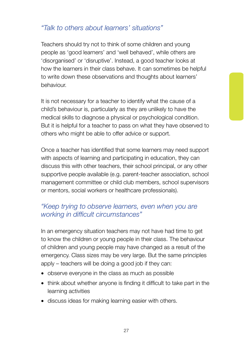## *"Talk to others about learners' situations"*

Teachers should try not to think of some children and young people as 'good learners' and 'well behaved', while others are 'disorganised' or 'disruptive'. Instead, a good teacher looks at how the learners in their class behave. It can sometimes be helpful to write down these observations and thoughts about learners' behaviour.

It is not necessary for a teacher to identify what the cause of a child's behaviour is, particularly as they are unlikely to have the medical skills to diagnose a physical or psychological condition. But it is helpful for a teacher to pass on what they have observed to others who might be able to offer advice or support.

Once a teacher has identified that some learners may need support with aspects of learning and participating in education, they can discuss this with other teachers, their school principal, or any other supportive people available (e.g. parent-teacher association, school management committee or child club members, school supervisors or mentors, social workers or healthcare professionals).

## *"Keep trying to observe learners, even when you are working in difficult circumstances"*

In an emergency situation teachers may not have had time to get to know the children or young people in their class. The behaviour of children and young people may have changed as a result of the emergency. Class sizes may be very large. But the same principles apply – teachers will be doing a good job if they can:

- observe everyone in the class as much as possible
- think about whether anyone is finding it difficult to take part in the learning activities
- discuss ideas for making learning easier with others.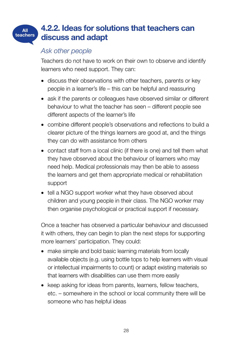#### **4.2.2. Ideas for solutions that teachers can discuss and adapt All teachers**

#### *Ask other people*

Teachers do not have to work on their own to observe and identify learners who need support. They can:

- discuss their observations with other teachers, parents or key people in a learner's life – this can be helpful and reassuring
- ask if the parents or colleagues have observed similar or different behaviour to what the teacher has seen – different people see different aspects of the learner's life
- combine different people's observations and reflections to build a clearer picture of the things learners are good at, and the things they can do with assistance from others
- contact staff from a local clinic (if there is one) and tell them what they have observed about the behaviour of learners who may need help. Medical professionals may then be able to assess the learners and get them appropriate medical or rehabilitation support
- tell a NGO support worker what they have observed about children and young people in their class. The NGO worker may then organise psychological or practical support if necessary.

Once a teacher has observed a particular behaviour and discussed it with others, they can begin to plan the next steps for supporting more learners' participation. They could:

- make simple and bold basic learning materials from locally available objects (e.g. using bottle tops to help learners with visual or intellectual impairments to count) or adapt existing materials so that learners with disabilities can use them more easily
- keep asking for ideas from parents, learners, fellow teachers, etc. – somewhere in the school or local community there will be someone who has helpful ideas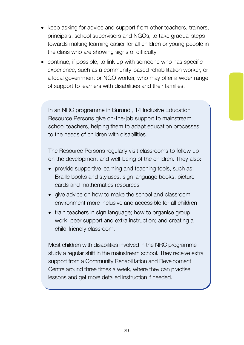- keep asking for advice and support from other teachers, trainers, principals, school supervisors and NGOs, to take gradual steps towards making learning easier for all children or young people in the class who are showing signs of difficulty
- continue, if possible, to link up with someone who has specific experience, such as a community-based rehabilitation worker, or a local government or NGO worker, who may offer a wider range of support to learners with disabilities and their families.

In an NRC programme in Burundi, 14 Inclusive Education Resource Persons give on-the-job support to mainstream school teachers, helping them to adapt education processes to the needs of children with disabilities.

The Resource Persons regularly visit classrooms to follow up on the development and well-being of the children. They also:

- provide supportive learning and teaching tools, such as Braille books and styluses, sign language books, picture cards and mathematics resources
- give advice on how to make the school and classroom environment more inclusive and accessible for all children
- train teachers in sign language; how to organise group work, peer support and extra instruction; and creating a child-friendly classroom.

Most children with disabilities involved in the NRC programme study a regular shift in the mainstream school. They receive extra support from a Community Rehabilitation and Development Centre around three times a week, where they can practise lessons and get more detailed instruction if needed.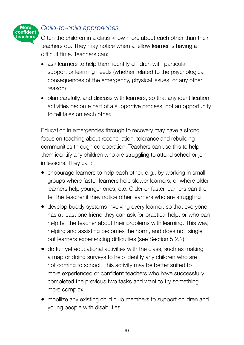

## *Child-to-child approaches*

Often the children in a class know more about each other than their teachers do. They may notice when a fellow learner is having a difficult time. Teachers can:

- ask learners to help them identify children with particular support or learning needs (whether related to the psychological consequences of the emergency, physical issues, or any other reason)
- plan carefully, and discuss with learners, so that any identification activities become part of a supportive process, not an opportunity to tell tales on each other.

Education in emergencies through to recovery may have a strong focus on teaching about reconciliation, tolerance and rebuilding communities through co-operation. Teachers can use this to help them identify any children who are struggling to attend school or join in lessons. They can:

- encourage learners to help each other, e.g., by working in small groups where faster learners help slower learners, or where older learners help younger ones, etc. Older or faster learners can then tell the teacher if they notice other learners who are struggling
- develop buddy systems involving every learner, so that everyone has at least one friend they can ask for practical help, or who can help tell the teacher about their problems with learning. This way, helping and assisting becomes the norm, and does not single out learners experiencing difficulties (see Section 5.2.2)
- do fun yet educational activities with the class, such as making a map or doing surveys to help identify any children who are not coming to school. This activity may be better suited to more experienced or confident teachers who have successfully completed the previous two tasks and want to try something more complex
- mobilize any existing child club members to support children and young people with disabilities.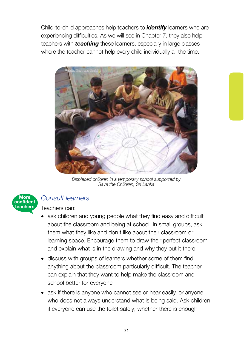Child-to-child approaches help teachers to *identify* learners who are experiencing difficulties. As we will see in Chapter 7, they also help teachers with *teaching* these learners, especially in large classes where the teacher cannot help every child individually all the time.



*Displaced children in a temporary school supported by Save the Children, Sri Lanka*



### *Consult learners*

Teachers can:

- ask children and young people what they find easy and difficult about the classroom and being at school. In small groups, ask them what they like and don't like about their classroom or learning space. Encourage them to draw their perfect classroom and explain what is in the drawing and why they put it there
- discuss with groups of learners whether some of them find anything about the classroom particularly difficult. The teacher can explain that they want to help make the classroom and school better for everyone
- ask if there is anyone who cannot see or hear easily, or anyone who does not always understand what is being said. Ask children if everyone can use the toilet safely; whether there is enough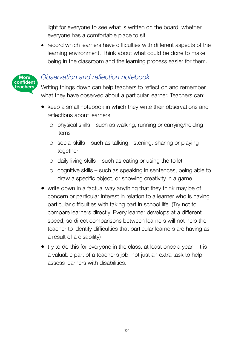light for everyone to see what is written on the board; whether everyone has a comfortable place to sit

• record which learners have difficulties with different aspects of the learning environment. Think about what could be done to make being in the classroom and the learning process easier for them.



## *Observation and reflection notebook*

Writing things down can help teachers to reflect on and remember what they have observed about a particular learner. Teachers can:

- keep a small notebook in which they write their observations and reflections about learners'
	- o physical skills such as walking, running or carrying/holding items
	- o social skills such as talking, listening, sharing or playing together
	- $\circ$  daily living skills such as eating or using the toilet
	- $\circ$  cognitive skills such as speaking in sentences, being able to draw a specific object, or showing creativity in a game
- write down in a factual way anything that they think may be of concern or particular interest in relation to a learner who is having particular difficulties with taking part in school life. (Try not to compare learners directly. Every learner develops at a different speed, so direct comparisons between learners will not help the teacher to identify difficulties that particular learners are having as a result of a disability)
- try to do this for everyone in the class, at least once a year it is a valuable part of a teacher's job, not just an extra task to help assess learners with disabilities.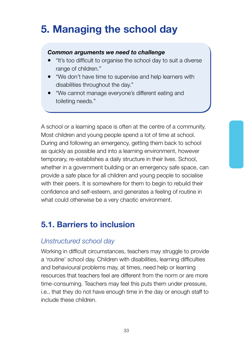## **5. Managing the school day**

#### *Common arguments we need to challenge*

- "It's too difficult to organise the school day to suit a diverse range of children."
- "We don't have time to supervise and help learners with disabilities throughout the day."
- "We cannot manage everyone's different eating and toileting needs."

A school or a learning space is often at the centre of a community. Most children and young people spend a lot of time at school. During and following an emergency, getting them back to school as quickly as possible and into a learning environment, however temporary, re-establishes a daily structure in their lives. School, whether in a government building or an emergency safe space, can provide a safe place for all children and young people to socialise with their peers. It is somewhere for them to begin to rebuild their confidence and self-esteem, and generates a feeling of routine in what could otherwise be a very chaotic environment.

## **5.1. Barriers to inclusion**

### *Unstructured school day*

Working in difficult circumstances, teachers may struggle to provide a 'routine' school day. Children with disabilities, learning difficulties and behavioural problems may, at times, need help or learning resources that teachers feel are different from the norm or are more time-consuming. Teachers may feel this puts them under pressure, i.e., that they do not have enough time in the day or enough staff to include these children.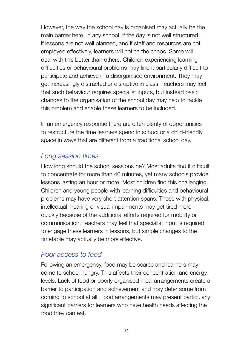However, the way the school day is organised may actually be the main barrier here. In any school, if the day is not well structured, if lessons are not well planned, and if staff and resources are not employed effectively, learners will notice the chaos. Some will deal with this better than others. Children experiencing learning difficulties or behavioural problems may find it particularly difficult to participate and achieve in a disorganised environment. They may get increasingly distracted or disruptive in class. Teachers may feel that such behaviour requires specialist inputs, but instead basic changes to the organisation of the school day may help to tackle this problem and enable these learners to be included.

In an emergency response there are often plenty of opportunities to restructure the time learners spend in school or a child-friendly space in ways that are different from a traditional school day.

## *Long session times*

How long should the school sessions be? Most adults find it difficult to concentrate for more than 40 minutes, yet many schools provide lessons lasting an hour or more. Most children find this challenging. Children and young people with learning difficulties and behavioural problems may have very short attention spans. Those with physical, intellectual, hearing or visual impairments may get tired more quickly because of the additional efforts required for mobility or communication. Teachers may feel that specialist input is required to engage these learners in lessons, but simple changes to the timetable may actually be more effective.

## *Poor access to food*

Following an emergency, food may be scarce and learners may come to school hungry. This affects their concentration and energy levels. Lack of food or poorly organised meal arrangements create a barrier to participation and achievement and may deter some from coming to school at all. Food arrangements may present particularly significant barriers for learners who have health needs affecting the food they can eat.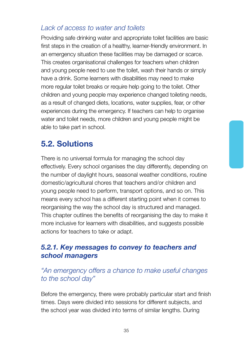## *Lack of access to water and toilets*

Providing safe drinking water and appropriate toilet facilities are basic first steps in the creation of a healthy, learner-friendly environment. In an emergency situation these facilities may be damaged or scarce. This creates organisational challenges for teachers when children and young people need to use the toilet, wash their hands or simply have a drink. Some learners with disabilities may need to make more regular toilet breaks or require help going to the toilet. Other children and young people may experience changed toileting needs, as a result of changed diets, locations, water supplies, fear, or other experiences during the emergency. If teachers can help to organise water and toilet needs, more children and young people might be able to take part in school.

# **5.2. Solutions**

There is no universal formula for managing the school day effectively. Every school organises the day differently, depending on the number of daylight hours, seasonal weather conditions, routine domestic/agricultural chores that teachers and/or children and young people need to perform, transport options, and so on. This means every school has a different starting point when it comes to reorganising the way the school day is structured and managed. This chapter outlines the benefits of reorganising the day to make it more inclusive for learners with disabilities, and suggests possible actions for teachers to take or adapt.

### *5.2.1. Key messages to convey to teachers and school managers*

### *"An emergency offers a chance to make useful changes to the school day"*

Before the emergency, there were probably particular start and finish times. Days were divided into sessions for different subjects, and the school year was divided into terms of similar lengths. During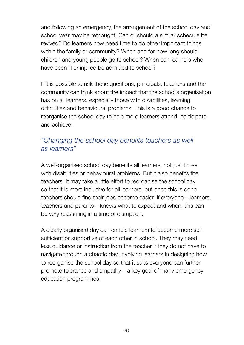and following an emergency, the arrangement of the school day and school year may be rethought. Can or should a similar schedule be revived? Do learners now need time to do other important things within the family or community? When and for how long should children and young people go to school? When can learners who have been ill or injured be admitted to school?

If it is possible to ask these questions, principals, teachers and the community can think about the impact that the school's organisation has on all learners, especially those with disabilities, learning difficulties and behavioural problems. This is a good chance to reorganise the school day to help more learners attend, participate and achieve.

### *"Changing the school day benefits teachers as well as learners"*

A well-organised school day benefits all learners, not just those with disabilities or behavioural problems. But it also benefits the teachers. It may take a little effort to reorganise the school day so that it is more inclusive for all learners, but once this is done teachers should find their jobs become easier. If everyone – learners, teachers and parents – knows what to expect and when, this can be very reassuring in a time of disruption.

A clearly organised day can enable learners to become more selfsufficient or supportive of each other in school. They may need less guidance or instruction from the teacher if they do not have to navigate through a chaotic day. Involving learners in designing how to reorganise the school day so that it suits everyone can further promote tolerance and empathy – a key goal of many emergency education programmes.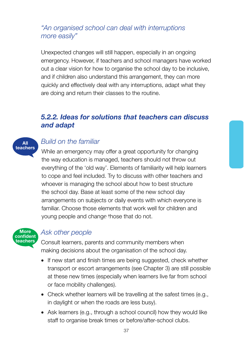### *"An organised school can deal with interruptions more easily"*

Unexpected changes will still happen, especially in an ongoing emergency. However, if teachers and school managers have worked out a clear vision for how to organise the school day to be inclusive, and if children also understand this arrangement, they can more quickly and effectively deal with any interruptions, adapt what they are doing and return their classes to the routine.

### *5.2.2. Ideas for solutions that teachers can discuss and adapt*



### *Build on the familiar*

While an emergency may offer a great opportunity for changing the way education is managed, teachers should not throw out everything of the 'old way'. Elements of familiarity will help learners to cope and feel included. Try to discuss with other teachers and whoever is managing the school about how to best structure the school day. Base at least some of the new school day arrangements on subjects or daily events with which everyone is familiar. Choose those elements that work well for children and young people and change those that do not. **All**



### *Ask other people*

Consult learners, parents and community members when making decisions about the organisation of the school day.

- If new start and finish times are being suggested, check whether transport or escort arrangements (see Chapter 3) are still possible at these new times (especially when learners live far from school or face mobility challenges).
- Check whether learners will be travelling at the safest times (e.g., in daylight or when the roads are less busy).
- Ask learners (e.g., through a school council) how they would like staff to organise break times or before/after-school clubs.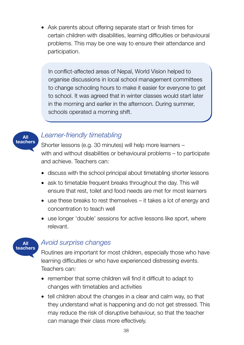• Ask parents about offering separate start or finish times for certain children with disabilities, learning difficulties or behavioural problems. This may be one way to ensure their attendance and participation.

In conflict-affected areas of Nepal, World Vision helped to organise discussions in local school management committees to change schooling hours to make it easier for everyone to get to school. It was agreed that in winter classes would start later in the morning and earlier in the afternoon. During summer, schools operated a morning shift.



### *Learner-friendly timetabling*

Shorter lessons (e.g. 30 minutes) will help more learners – with and without disabilities or behavioural problems – to participate and achieve. Teachers can:

- discuss with the school principal about timetabling shorter lessons
- ask to timetable frequent breaks throughout the day. This will ensure that rest, toilet and food needs are met for most learners
- use these breaks to rest themselves it takes a lot of energy and concentration to teach well
- use longer 'double' sessions for active lessons like sport, where relevant.

# **All teachers**

### *Avoid surprise changes*

Routines are important for most children, especially those who have learning difficulties or who have experienced distressing events. Teachers can:

- remember that some children will find it difficult to adapt to changes with timetables and activities
- tell children about the changes in a clear and calm way, so that they understand what is happening and do not get stressed. This may reduce the risk of disruptive behaviour, so that the teacher can manage their class more effectively.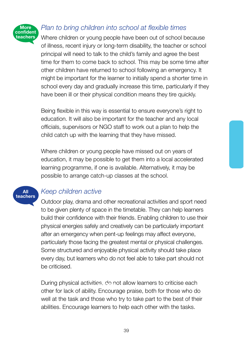

### *Plan to bring children into school at flexible times*

Where children or young people have been out of school because of illness, recent injury or long-term disability, the teacher or school principal will need to talk to the child's family and agree the best time for them to come back to school. This may be some time after other children have returned to school following an emergency. It might be important for the learner to initially spend a shorter time in school every day and gradually increase this time, particularly if they have been ill or their physical condition means they tire quickly.

Being flexible in this way is essential to ensure everyone's right to education. It will also be important for the teacher and any local officials, supervisors or NGO staff to work out a plan to help the child catch up with the learning that they have missed.

Where children or young people have missed out on years of education, it may be possible to get them into a local accelerated learning programme, if one is available. Alternatively, it may be possible to arrange catch-up classes at the school.

## **All teachers**

## *Keep children active*

Outdoor play, drama and other recreational activities and sport need to be given plenty of space in the timetable. They can help learners build their confidence with their friends. Enabling children to use their physical energies safely and creatively can be particularly important after an emergency when pent-up feelings may affect everyone, particularly those facing the greatest mental or physical challenges. Some structured and enjoyable physical activity should take place every day, but learners who do not feel able to take part should not be criticised.

During physical activities, do not allow learners to criticise each **teachers** other for lack of ability. Encourage praise, both for those who do well at the task and those who try to take part to the best of their abilities. Encourage learners to help each other with the tasks.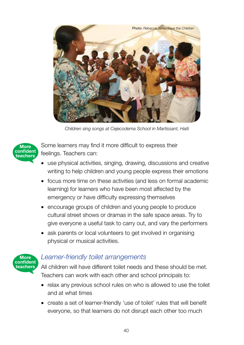

*Children sing songs at Cejecodema School in Martissant, Haiti*



Some learners may find it more difficult to express their feelings. Teachers can:

- use physical activities, singing, drawing, discussions and creative writing to help children and young people express their emotions
- focus more time on these activities (and less on formal academic learning) for learners who have been most affected by the emergency or have difficulty expressing themselves
- encourage groups of children and young people to produce cultural street shows or dramas in the safe space areas. Try to give everyone a useful task to carry out, and vary the performers
- ask parents or local volunteers to get involved in organising physical or musical activities.



### *Learner-friendly toilet arrangements*

All children will have different toilet needs and these should be met. Teachers can work with each other and school principals to:

- relax any previous school rules on who is allowed to use the toilet and at what times
- create a set of learner-friendly 'use of toilet' rules that will benefit everyone, so that learners do not disrupt each other too much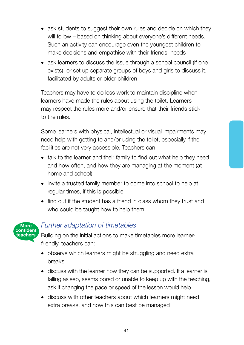- ask students to suggest their own rules and decide on which they will follow – based on thinking about everyone's different needs. Such an activity can encourage even the youngest children to make decisions and empathise with their friends' needs
- ask learners to discuss the issue through a school council (if one exists), or set up separate groups of boys and girls to discuss it, facilitated by adults or older children

Teachers may have to do less work to maintain discipline when learners have made the rules about using the toilet. Learners may respect the rules more and/or ensure that their friends stick to the rules.

Some learners with physical, intellectual or visual impairments may need help with getting to and/or using the toilet, especially if the facilities are not very accessible. Teachers can:

- talk to the learner and their family to find out what help they need and how often, and how they are managing at the moment (at home and school)
- invite a trusted family member to come into school to help at regular times, if this is possible
- find out if the student has a friend in class whom they trust and who could be taught how to help them.



### *Further adaptation of timetables*

Building on the initial actions to make timetables more learnerfriendly, teachers can:

- observe which learners might be struggling and need extra breaks
- discuss with the learner how they can be supported. If a learner is falling asleep, seems bored or unable to keep up with the teaching, ask if changing the pace or speed of the lesson would help
- discuss with other teachers about which learners might need extra breaks, and how this can best be managed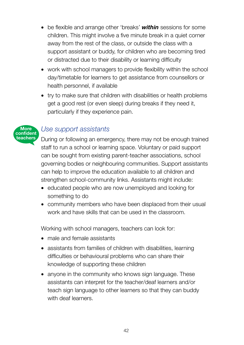- be flexible and arrange other 'breaks' *within* sessions for some children. This might involve a five minute break in a quiet corner away from the rest of the class, or outside the class with a support assistant or buddy, for children who are becoming tired or distracted due to their disability or learning difficulty
- work with school managers to provide flexibility within the school day/timetable for learners to get assistance from counsellors or health personnel, if available
- try to make sure that children with disabilities or health problems get a good rest (or even sleep) during breaks if they need it, particularly if they experience pain.

### **More confident teachers**

### *Use support assistants*

During or following an emergency, there may not be enough trained staff to run a school or learning space. Voluntary or paid support can be sought from existing parent-teacher associations, school governing bodies or neighbouring communities. Support assistants can help to improve the education available to all children and strengthen school-community links. Assistants might include:

- educated people who are now unemployed and looking for something to do
- community members who have been displaced from their usual work and have skills that can be used in the classroom.

Working with school managers, teachers can look for:

- male and female assistants
- assistants from families of children with disabilities, learning difficulties or behavioural problems who can share their knowledge of supporting these children
- anyone in the community who knows sign language. These assistants can interpret for the teacher/deaf learners and/or teach sign language to other learners so that they can buddy with deaf learners.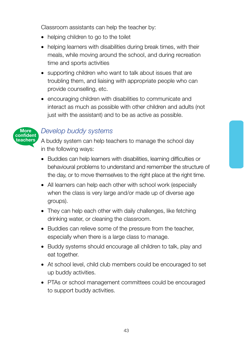Classroom assistants can help the teacher by:

- helping children to go to the toilet
- helping learners with disabilities during break times, with their meals, while moving around the school, and during recreation time and sports activities
- supporting children who want to talk about issues that are troubling them, and liaising with appropriate people who can provide counselling, etc.
- encouraging children with disabilities to communicate and interact as much as possible with other children and adults (not just with the assistant) and to be as active as possible.



### *Develop buddy systems*

A buddy system can help teachers to manage the school day in the following ways:

- Buddies can help learners with disabilities, learning difficulties or behavioural problems to understand and remember the structure of the day, or to move themselves to the right place at the right time.
- All learners can help each other with school work (especially when the class is very large and/or made up of diverse age groups).
- They can help each other with daily challenges, like fetching drinking water, or cleaning the classroom.
- Buddies can relieve some of the pressure from the teacher, especially when there is a large class to manage.
- Buddy systems should encourage all children to talk, play and eat together.
- At school level, child club members could be encouraged to set up buddy activities.
- PTAs or school management committees could be encouraged to support buddy activities.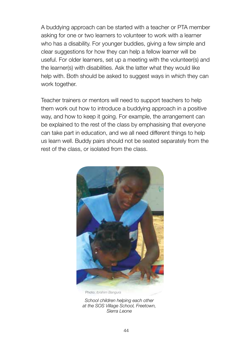A buddying approach can be started with a teacher or PTA member asking for one or two learners to volunteer to work with a learner who has a disability. For younger buddies, giving a few simple and clear suggestions for how they can help a fellow learner will be useful. For older learners, set up a meeting with the volunteer(s) and the learner(s) with disabilities. Ask the latter what they would like help with. Both should be asked to suggest ways in which they can work together.

Teacher trainers or mentors will need to support teachers to help them work out how to introduce a buddying approach in a positive way, and how to keep it going. For example, the arrangement can be explained to the rest of the class by emphasising that everyone can take part in education, and we all need different things to help us learn well. Buddy pairs should not be seated separately from the rest of the class, or isolated from the class.



Photo: *Ibrahim Bangura*

*School children helping each other at the SOS Village School, Freetown, Sierra Leone*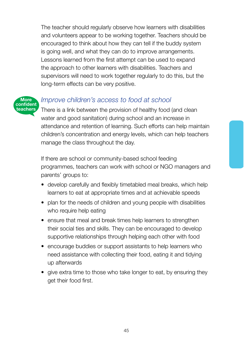The teacher should regularly observe how learners with disabilities and volunteers appear to be working together. Teachers should be encouraged to think about how they can tell if the buddy system is going well, and what they can do to improve arrangements. Lessons learned from the first attempt can be used to expand the approach to other learners with disabilities. Teachers and supervisors will need to work together regularly to do this, but the long-term effects can be very positive.



### *Improve children's access to food at school*

There is a link between the provision of healthy food (and clean water and good sanitation) during school and an increase in attendance and retention of learning. Such efforts can help maintain children's concentration and energy levels, which can help teachers manage the class throughout the day.

If there are school or community-based school feeding programmes, teachers can work with school or NGO managers and parents' groups to:

- develop carefully and flexibly timetabled meal breaks, which help learners to eat at appropriate times and at achievable speeds
- plan for the needs of children and young people with disabilities who require help eating
- ensure that meal and break times help learners to strengthen their social ties and skills. They can be encouraged to develop supportive relationships through helping each other with food
- encourage buddies or support assistants to help learners who need assistance with collecting their food, eating it and tidying up afterwards
- give extra time to those who take longer to eat, by ensuring they get their food first.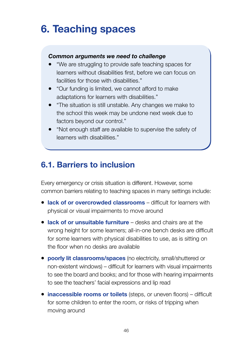# **6. Teaching spaces**

### *Common arguments we need to challenge*

- "We are struggling to provide safe teaching spaces for learners without disabilities first, before we can focus on facilities for those with disabilities."
- "Our funding is limited, we cannot afford to make adaptations for learners with disabilities."
- "The situation is still unstable. Any changes we make to the school this week may be undone next week due to factors beyond our control."
- "Not enough staff are available to supervise the safety of learners with disabilities."

# **6.1. Barriers to inclusion**

Every emergency or crisis situation is different. However, some common barriers relating to teaching spaces in many settings include:

- **lack of or overcrowded classrooms** difficult for learners with physical or visual impairments to move around
- **lack of or unsuitable furniture** desks and chairs are at the wrong height for some learners; all-in-one bench desks are difficult for some learners with physical disabilities to use, as is sitting on the floor when no desks are available
- **poorly lit classrooms/spaces** (no electricity, small/shuttered or non-existent windows) – difficult for learners with visual impairments to see the board and books; and for those with hearing impairments to see the teachers' facial expressions and lip read
- **inaccessible rooms or toilets** (steps, or uneven floors) difficult for some children to enter the room, or risks of tripping when moving around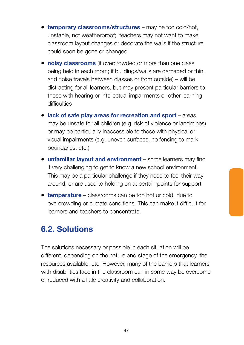- **temporary classrooms/structures** may be too cold/hot, unstable, not weatherproof; teachers may not want to make classroom layout changes or decorate the walls if the structure could soon be gone or changed
- **noisy classrooms** (if overcrowded or more than one class being held in each room; if buildings/walls are damaged or thin, and noise travels between classes or from outside) – will be distracting for all learners, but may present particular barriers to those with hearing or intellectual impairments or other learning difficulties
- **lack of safe play areas for recreation and sport** areas may be unsafe for all children (e.g. risk of violence or landmines) or may be particularly inaccessible to those with physical or visual impairments (e.g. uneven surfaces, no fencing to mark boundaries, etc.)
- **unfamiliar layout and environment** some learners may find it very challenging to get to know a new school environment. This may be a particular challenge if they need to feel their way around, or are used to holding on at certain points for support
- **temperature** classrooms can be too hot or cold, due to overcrowding or climate conditions. This can make it difficult for learners and teachers to concentrate.

# **6.2. Solutions**

The solutions necessary or possible in each situation will be different, depending on the nature and stage of the emergency, the resources available, etc. However, many of the barriers that learners with disabilities face in the classroom can in some way be overcome or reduced with a little creativity and collaboration.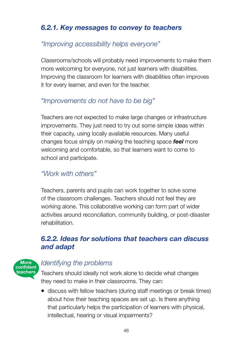## *6.2.1. Key messages to convey to teachers*

### *"Improving accessibility helps everyone"*

Classrooms/schools will probably need improvements to make them more welcoming for everyone, not just learners with disabilities. Improving the classroom for learners with disabilities often improves it for every learner, and even for the teacher.

## *"Improvements do not have to be big"*

Teachers are not expected to make large changes or infrastructure improvements. They just need to try out some simple ideas within their capacity, using locally available resources. Many useful changes focus simply on making the teaching space *feel* more welcoming and comfortable, so that learners want to come to school and participate.

## *"Work with others"*

Teachers, parents and pupils can work together to solve some of the classroom challenges. Teachers should not feel they are working alone. This collaborative working can form part of wider activities around reconciliation, community building, or post-disaster rehabilitation.

### *6.2.2. Ideas for solutions that teachers can discuss and adapt*



### *Identifying the problems*

Teachers should ideally not work alone to decide what changes they need to make in their classrooms. They can:

• discuss with fellow teachers (during staff meetings or break times) about how their teaching spaces are set up. Is there anything that particularly helps the participation of learners with physical, intellectual, hearing or visual impairments?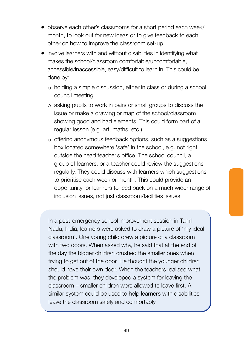- observe each other's classrooms for a short period each week/ month, to look out for new ideas or to give feedback to each other on how to improve the classroom set-up
- involve learners with and without disabilities in identifying what makes the school/classroom comfortable/uncomfortable, accessible/inaccessible, easy/difficult to learn in. This could be done by:
	- o holding a simple discussion, either in class or during a school council meeting
	- o asking pupils to work in pairs or small groups to discuss the issue or make a drawing or map of the school/classroom showing good and bad elements. This could form part of a regular lesson (e.g. art, maths, etc.).
	- o offering anonymous feedback options, such as a suggestions box located somewhere 'safe' in the school, e.g. not right outside the head teacher's office. The school council, a group of learners, or a teacher could review the suggestions regularly. They could discuss with learners which suggestions to prioritise each week or month. This could provide an opportunity for learners to feed back on a much wider range of inclusion issues, not just classroom/facilities issues.

In a post-emergency school improvement session in Tamil Nadu, India, learners were asked to draw a picture of 'my ideal classroom'. One young child drew a picture of a classroom with two doors. When asked why, he said that at the end of the day the bigger children crushed the smaller ones when trying to get out of the door. He thought the younger children should have their own door. When the teachers realised what the problem was, they developed a system for leaving the classroom – smaller children were allowed to leave first. A similar system could be used to help learners with disabilities leave the classroom safely and comfortably.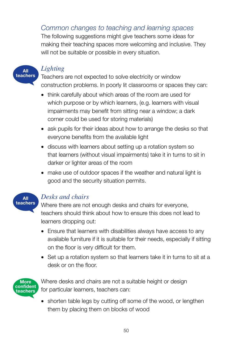## *Common changes to teaching and learning spaces*

The following suggestions might give teachers some ideas for making their teaching spaces more welcoming and inclusive. They will not be suitable or possible in every situation.



### *Lighting*

Teachers are not expected to solve electricity or window construction problems. In poorly lit classrooms or spaces they can:

- think carefully about which areas of the room are used for which purpose or by which learners, (e.g. learners with visual impairments may benefit from sitting near a window; a dark corner could be used for storing materials)
- ask pupils for their ideas about how to arrange the desks so that everyone benefits from the available light
- discuss with learners about setting up a rotation system so that learners (without visual impairments) take it in turns to sit in darker or lighter areas of the room
- make use of outdoor spaces if the weather and natural light is good and the security situation permits.



### Desks and chairs

Where there are not enough desks and chairs for everyone, teachers should think about how to ensure this does not lead to learners dropping out:

- Ensure that learners with disabilities always have access to any available furniture if it is suitable for their needs, especially if sitting on the floor is very difficult for them.
- Set up a rotation system so that learners take it in turns to sit at a desk or on the floor.



Where desks and chairs are not a suitable height or design for particular learners, teachers can:

• shorten table legs by cutting off some of the wood, or lengthen them by placing them on blocks of wood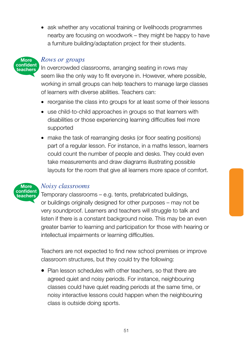• ask whether any vocational training or livelihoods programmes nearby are focusing on woodwork – they might be happy to have a furniture building/adaptation project for their students.



### *Rows or groups*

In overcrowded classrooms, arranging seating in rows may seem like the only way to fit everyone in. However, where possible, working in small groups can help teachers to manage large classes of learners with diverse abilities. Teachers can:

- reorganise the class into groups for at least some of their lessons
- use child-to-child approaches in groups so that learners with disabilities or those experiencing learning difficulties feel more supported
- make the task of rearranging desks (or floor seating positions) part of a regular lesson. For instance, in a maths lesson, learners could count the number of people and desks. They could even take measurements and draw diagrams illustrating possible layouts for the room that give all learners more space of comfort.



### *Noisy classrooms*

Temporary classrooms – e.g. tents, prefabricated buildings, or buildings originally designed for other purposes – may not be very soundproof. Learners and teachers will struggle to talk and listen if there is a constant background noise. This may be an even greater barrier to learning and participation for those with hearing or intellectual impairments or learning difficulties.

Teachers are not expected to find new school premises or improve classroom structures, but they could try the following:

• Plan lesson schedules with other teachers, so that there are agreed quiet and noisy periods. For instance, neighbouring classes could have quiet reading periods at the same time, or noisy interactive lessons could happen when the neighbouring class is outside doing sports.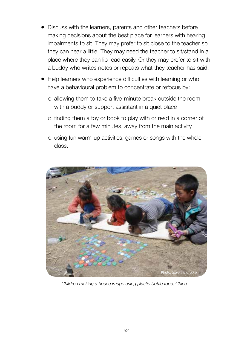- Discuss with the learners, parents and other teachers before making decisions about the best place for learners with hearing impairments to sit. They may prefer to sit close to the teacher so they can hear a little. They may need the teacher to sit/stand in a place where they can lip read easily. Or they may prefer to sit with a buddy who writes notes or repeats what they teacher has said.
- Help learners who experience difficulties with learning or who have a behavioural problem to concentrate or refocus by:
	- o allowing them to take a five-minute break outside the room with a buddy or support assistant in a quiet place
	- o finding them a toy or book to play with or read in a corner of the room for a few minutes, away from the main activity
	- o using fun warm-up activities, games or songs with the whole class.



*Children making a house image using plastic bottle tops, China*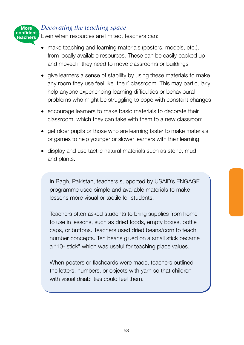### *Decorating the teaching space*

**More** 

**teachers**

Even when resources are limited, teachers can: **confident** 

- make teaching and learning materials (posters, models, etc.), from locally available resources. These can be easily packed up and moved if they need to move classrooms or buildings
- give learners a sense of stability by using these materials to make any room they use feel like 'their' classroom. This may particularly help anyone experiencing learning difficulties or behavioural problems who might be struggling to cope with constant changes
- encourage learners to make basic materials to decorate their classroom, which they can take with them to a new classroom
- get older pupils or those who are learning faster to make materials or games to help younger or slower learners with their learning
- display and use tactile natural materials such as stone, mud and plants.

In Bagh, Pakistan, teachers supported by USAID's ENGAGE programme used simple and available materials to make lessons more visual or tactile for students.

Teachers often asked students to bring supplies from home to use in lessons, such as dried foods, empty boxes, bottle caps, or buttons. Teachers used dried beans/corn to teach number concepts. Ten beans glued on a small stick became a "10- stick" which was useful for teaching place values.

When posters or flashcards were made, teachers outlined the letters, numbers, or objects with yarn so that children with visual disabilities could feel them.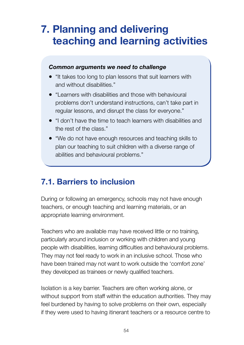# **7. Planning and delivering teaching and learning activities**

### *Common arguments we need to challenge*

- "It takes too long to plan lessons that suit learners with and without disabilities."
- "Learners with disabilities and those with behavioural problems don't understand instructions, can't take part in regular lessons, and disrupt the class for everyone."
- "I don't have the time to teach learners with disabilities and the rest of the class."
- "We do not have enough resources and teaching skills to plan our teaching to suit children with a diverse range of abilities and behavioural problems."

## **7.1. Barriers to inclusion**

During or following an emergency, schools may not have enough teachers, or enough teaching and learning materials, or an appropriate learning environment.

Teachers who are available may have received little or no training, particularly around inclusion or working with children and young people with disabilities, learning difficulties and behavioural problems. They may not feel ready to work in an inclusive school. Those who have been trained may not want to work outside the 'comfort zone' they developed as trainees or newly qualified teachers.

Isolation is a key barrier. Teachers are often working alone, or without support from staff within the education authorities. They may feel burdened by having to solve problems on their own, especially if they were used to having itinerant teachers or a resource centre to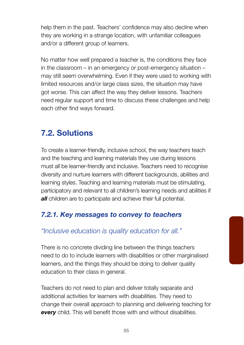help them in the past. Teachers' confidence may also decline when they are working in a strange location, with unfamiliar colleagues and/or a different group of learners.

No matter how well prepared a teacher is, the conditions they face in the classroom – in an emergency or post-emergency situation – may still seem overwhelming. Even if they were used to working with limited resources and/or large class sizes, the situation may have got worse. This can affect the way they deliver lessons. Teachers need regular support and time to discuss these challenges and help each other find ways forward.

# **7.2. Solutions**

To create a learner-friendly, inclusive school, the way teachers teach and the teaching and learning materials they use during lessons must all be learner-friendly and inclusive. Teachers need to recognise diversity and nurture learners with different backgrounds, abilities and learning styles. Teaching and learning materials must be stimulating, participatory and relevant to all children's learning needs and abilities if *all* children are to participate and achieve their full potential.

## *7.2.1. Key messages to convey to teachers*

### *"Inclusive education is quality education for all."*

There is no concrete dividing line between the things teachers need to do to include learners with disabilities or other marginalised learners, and the things they should be doing to deliver quality education to their class in general.

Teachers do not need to plan and deliver totally separate and additional activities for learners with disabilities. They need to change their overall approach to planning and delivering teaching for **every** child. This will benefit those with and without disabilities.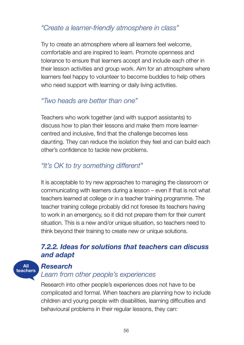### *"Create a learner-friendly atmosphere in class"*

Try to create an atmosphere where all learners feel welcome, comfortable and are inspired to learn. Promote openness and tolerance to ensure that learners accept and include each other in their lesson activities and group work. Aim for an atmosphere where learners feel happy to volunteer to become buddies to help others who need support with learning or daily living activities.

## *"Two heads are better than one"*

Teachers who work together (and with support assistants) to discuss how to plan their lessons and make them more learnercentred and inclusive, find that the challenge becomes less daunting. They can reduce the isolation they feel and can build each other's confidence to tackle new problems.

## *"It's OK to try something different"*

It is acceptable to try new approaches to managing the classroom or communicating with learners during a lesson – even if that is not what teachers learned at college or in a teacher training programme. The teacher training college probably did not foresee its teachers having to work in an emergency, so it did not prepare them for their current situation. This is a new and/or unique situation, so teachers need to think beyond their training to create new or unique solutions.

### *7.2.2. Ideas for solutions that teachers can discuss and adapt*

#### **All teachers**

### *Research*

## *Learn from other people's experiences*

Research into other people's experiences does not have to be complicated and formal. When teachers are planning how to include children and young people with disabilities, learning difficulties and behavioural problems in their regular lessons, they can: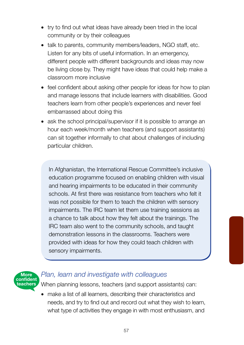- try to find out what ideas have already been tried in the local community or by their colleagues
- talk to parents, community members/leaders, NGO staff, etc. Listen for any bits of useful information. In an emergency, different people with different backgrounds and ideas may now be living close by. They might have ideas that could help make a classroom more inclusive
- feel confident about asking other people for ideas for how to plan and manage lessons that include learners with disabilities. Good teachers learn from other people's experiences and never feel embarrassed about doing this
- ask the school principal/supervisor if it is possible to arrange an hour each week/month when teachers (and support assistants) can sit together informally to chat about challenges of including particular children.

In Afghanistan, the International Rescue Committee's inclusive education programme focused on enabling children with visual and hearing impairments to be educated in their community schools. At first there was resistance from teachers who felt it was not possible for them to teach the children with sensory impairments. The IRC team let them use training sessions as a chance to talk about how they felt about the trainings. The IRC team also went to the community schools, and taught demonstration lessons in the classrooms. Teachers were provided with ideas for how they could teach children with sensory impairments.



### *Plan, learn and investigate with colleagues*

When planning lessons, teachers (and support assistants) can:

• make a list of all learners, describing their characteristics and needs, and try to find out and record out what they wish to learn, what type of activities they engage in with most enthusiasm, and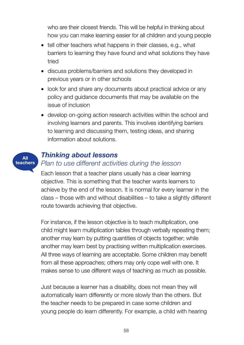who are their closest friends. This will be helpful in thinking about how you can make learning easier for all children and young people

- tell other teachers what happens in their classes, e.g., what barriers to learning they have found and what solutions they have tried
- discuss problems/barriers and solutions they developed in previous years or in other schools
- look for and share any documents about practical advice or any policy and guidance documents that may be available on the issue of inclusion
- develop on-going action research activities within the school and involving learners and parents. This involves identifying barriers to learning and discussing them, testing ideas, and sharing information about solutions.

### *Thinking about lessons*

**All teachers**

### *Plan to use different activities during the lesson*

Each lesson that a teacher plans usually has a clear learning objective. This is something that the teacher wants learners to achieve by the end of the lesson. It is normal for every learner in the class – those with and without disabilities – to take a slightly different route towards achieving that objective.

For instance, if the lesson objective is to teach multiplication, one child might learn multiplication tables through verbally repeating them; another may learn by putting quantities of objects together; while another may learn best by practising written multiplication exercises. All three ways of learning are acceptable. Some children may benefit from all these approaches; others may only cope well with one. It makes sense to use different ways of teaching as much as possible.

Just because a learner has a disability, does not mean they will automatically learn differently or more slowly than the others. But the teacher needs to be prepared in case some children and young people do learn differently. For example, a child with hearing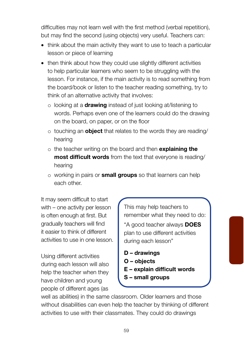difficulties may not learn well with the first method (verbal repetition), but may find the second (using objects) very useful. Teachers can:

- think about the main activity they want to use to teach a particular lesson or piece of learning
- then think about how they could use slightly different activities to help particular learners who seem to be struggling with the lesson. For instance, if the main activity is to read something from the board/book or listen to the teacher reading something, try to think of an alternative activity that involves:
	- o looking at a **drawing** instead of just looking at/listening to words. Perhaps even one of the learners could do the drawing on the board, on paper, or on the floor
	- o touching an **object** that relates to the words they are reading/ hearing
	- Rthe teacher writing on the board and then **explaining the most difficult words** from the text that everyone is reading/ hearing
	- Rworking in pairs or **small groups** so that learners can help each other.

It may seem difficult to start with – one activity per lesson is often enough at first. But gradually teachers will find it easier to think of different activities to use in one lesson.

Using different activities during each lesson will also help the teacher when they have children and young people of different ages (as

This may help teachers to remember what they need to do:

"A good teacher always **DOES** plan to use different activities during each lesson"

- **D drawings**
- **O objects**
- **E explain difficult words**
- **S small groups**

well as abilities) in the same classroom. Older learners and those without disabilities can even help the teacher by thinking of different activities to use with their classmates. They could do drawings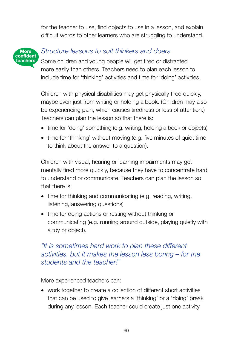for the teacher to use, find objects to use in a lesson, and explain difficult words to other learners who are struggling to understand.



## *Structure lessons to suit thinkers and doers*

Some children and young people will get tired or distracted more easily than others. Teachers need to plan each lesson to include time for 'thinking' activities and time for 'doing' activities.

Children with physical disabilities may get physically tired quickly, maybe even just from writing or holding a book. (Children may also be experiencing pain, which causes tiredness or loss of attention.) Teachers can plan the lesson so that there is:

- time for 'doing' something (e.g. writing, holding a book or objects)
- time for 'thinking' without moving (e.g. five minutes of quiet time to think about the answer to a question).

Children with visual, hearing or learning impairments may get mentally tired more quickly, because they have to concentrate hard to understand or communicate. Teachers can plan the lesson so that there is:

- time for thinking and communicating (e.g. reading, writing, listening, answering questions)
- time for doing actions or resting without thinking or communicating (e.g. running around outside, playing quietly with a toy or object).

### *"It is sometimes hard work to plan these different activities, but it makes the lesson less boring – for the students and the teacher!"*

More experienced teachers can:

• work together to create a collection of different short activities that can be used to give learners a 'thinking' or a 'doing' break during any lesson. Each teacher could create just one activity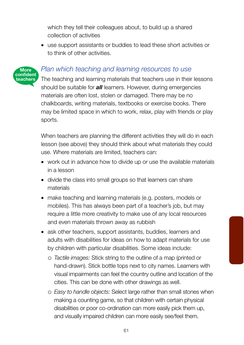which they tell their colleagues about, to build up a shared collection of activities

• use support assistants or buddies to lead these short activities or to think of other activities.

### *Plan which teaching and learning resources to use*

**More confident teachers**

The teaching and learning materials that teachers use in their lessons should be suitable for *all* learners. However, during emergencies materials are often lost, stolen or damaged. There may be no chalkboards, writing materials, textbooks or exercise books. There may be limited space in which to work, relax, play with friends or play sports.

When teachers are planning the different activities they will do in each lesson (see above) they should think about what materials they could use. Where materials are limited, teachers can:

- work out in advance how to divide up or use the available materials in a lesson
- divide the class into small groups so that learners can share materials
- make teaching and learning materials (e.g. posters, models or mobiles). This has always been part of a teacher's job, but may require a little more creativity to make use of any local resources and even materials thrown away as rubbish
- ask other teachers, support assistants, buddies, learners and adults with disabilities for ideas on how to adapt materials for use by children with particular disabilities. Some ideas include:
	- R*Tactile images:* Stick string to the outline of a map (printed or hand-drawn). Stick bottle tops next to city names. Learners with visual impairments can feel the country outline and location of the cities. This can be done with other drawings as well.
	- R*Easy to handle objects:* Select large rather than small stones when making a counting game, so that children with certain physical disabilities or poor co-ordination can more easily pick them up, and visually impaired children can more easily see/feel them.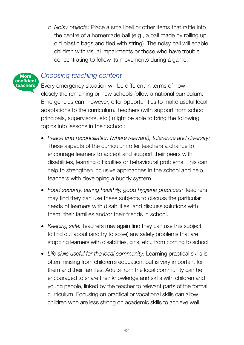R*Noisy objects:* Place a small bell or other items that rattle into the centre of a homemade ball (e.g., a ball made by rolling up old plastic bags and tied with string). The noisy ball will enable children with visual impairments or those who have trouble concentrating to follow its movements during a game.



### *Choosing teaching content*

Every emergency situation will be different in terms of how closely the remaining or new schools follow a national curriculum. Emergencies can, however, offer opportunities to make useful local adaptations to the curriculum. Teachers (with support from school principals, supervisors, etc.) might be able to bring the following topics into lessons in their school:

- *Peace and reconciliation (where relevant), tolerance and diversity:*  These aspects of the curriculum offer teachers a chance to encourage learners to accept and support their peers with disabilities, learning difficulties or behavioural problems. This can help to strengthen inclusive approaches in the school and help teachers with developing a buddy system.
- *Food security, eating healthily, good hygiene practices:* Teachers may find they can use these subjects to discuss the particular needs of learners with disabilities, and discuss solutions with them, their families and/or their friends in school.
- *Keeping safe:* Teachers may again find they can use this subject to find out about (and try to solve) any safety problems that are stopping learners with disabilities, girls, etc., from coming to school.
- *Life skills useful for the local community:* Learning practical skills is often missing from children's education, but is very important for them and their families. Adults from the local community can be encouraged to share their knowledge and skills with children and young people, linked by the teacher to relevant parts of the formal curriculum. Focusing on practical or vocational skills can allow children who are less strong on academic skills to achieve well.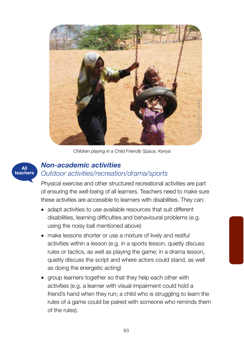

*Children playing in a Child Friendly Space, Kenya*

### *Non-academic activities Outdoor activities/recreation/drama/sports*

**All teachers**

> Physical exercise and other structured recreational activities are part of ensuring the well-being of all learners. Teachers need to make sure these activities are accessible to learners with disabilities. They can:

- adapt activities to use available resources that suit different disabilities, learning difficulties and behavioural problems (e.g. using the noisy ball mentioned above)
- make lessons shorter or use a mixture of lively and restful activities within a lesson (e.g. in a sports lesson, quietly discuss rules or tactics, as well as playing the game; in a drama lesson, quietly discuss the script and where actors could stand, as well as doing the energetic acting)
- group learners together so that they help each other with activities (e.g. a learner with visual impairment could hold a friend's hand when they run; a child who is struggling to learn the rules of a game could be paired with someone who reminds them of the rules).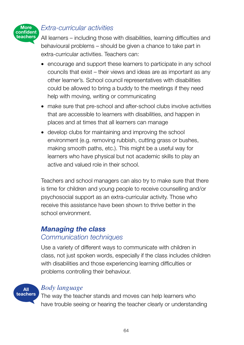

### *Extra-curricular activities*

All learners – including those with disabilities, learning difficulties and behavioural problems – should be given a chance to take part in extra-curricular activities. Teachers can:

- encourage and support these learners to participate in any school councils that exist – their views and ideas are as important as any other learner's. School council representatives with disabilities could be allowed to bring a buddy to the meetings if they need help with moving, writing or communicating
- make sure that pre-school and after-school clubs involve activities that are accessible to learners with disabilities, and happen in places and at times that all learners can manage
- develop clubs for maintaining and improving the school environment (e.g. removing rubbish, cutting grass or bushes, making smooth paths, etc.). This might be a useful way for learners who have physical but not academic skills to play an active and valued role in their school.

Teachers and school managers can also try to make sure that there is time for children and young people to receive counselling and/or psychosocial support as an extra-curricular activity. Those who receive this assistance have been shown to thrive better in the school environment.

### *Managing the class Communication techniques*

Use a variety of different ways to communicate with children in class, not just spoken words, especially if the class includes children with disabilities and those experiencing learning difficulties or problems controlling their behaviour.

**All teachers**

### Body language

The way the teacher stands and moves can help learners who have trouble seeing or hearing the teacher clearly or understanding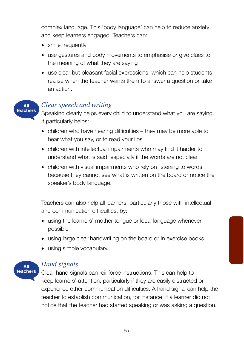complex language. This 'body language' can help to reduce anxiety and keep learners engaged. Teachers can:

- smile frequently
- use gestures and body movements to emphasise or give clues to the meaning of what they are saying
- use clear but pleasant facial expressions, which can help students realise when the teacher wants them to answer a question or take an action.



### *Clear speech and writing*

Speaking clearly helps every child to understand what you are saying. It particularly helps:

- children who have hearing difficulties they may be more able to hear what you say, or to read your lips
- children with intellectual impairments who may find it harder to understand what is said, especially if the words are not clear
- children with visual impairments who rely on listening to words because they cannot see what is written on the board or notice the speaker's body language.

Teachers can also help all learners, particularly those with intellectual and communication difficulties, by:

- using the learners' mother tongue or local language whenever possible
- using large clear handwriting on the board or in exercise books
- using simple vocabulary.



### *Hand signals*

Clear hand signals can reinforce instructions. This can help to keep learners' attention, particularly if they are easily distracted or experience other communication difficulties. A hand signal can help the teacher to establish communication, for instance, if a learner did not notice that the teacher had started speaking or was asking a question.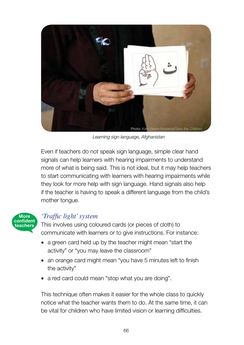

*Learning sign language, Afghanistan*

Even if teachers do not speak sign language, simple clear hand signals can help learners with hearing impairments to understand more of what is being said. This is not ideal, but it may help teachers to start communicating with learners with hearing impairments while they look for more help with sign language. Hand signals also help if the teacher is having to speak a different language from the child's mother tongue.



### *<sup>'</sup>Traffic light' system*

This involves using coloured cards (or pieces of cloth) to communicate with learners or to give instructions. For instance:

- a green card held up by the teacher might mean "start the activity" or "you may leave the classroom"
- an orange card might mean "you have 5 minutes left to finish the activity"
- a red card could mean "stop what you are doing".

This technique often makes it easier for the whole class to quickly notice what the teacher wants them to do. At the same time, it can be vital for children who have limited vision or learning difficulties.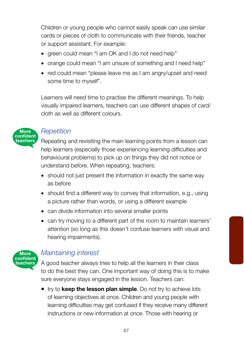Children or young people who cannot easily speak can use similar cards or pieces of cloth to communicate with their friends, teacher or support assistant. For example:

- green could mean "I am OK and I do not need help"
- orange could mean "I am unsure of something and I need help"
- red could mean "please leave me as I am angry/upset and need some time to myself".

Learners will need time to practise the different meanings. To help visually impaired learners, teachers can use different shapes of card/ cloth as well as different colours.



### *Repetition*

Repeating and revisiting the main learning points from a lesson can help learners (especially those experiencing learning difficulties and behavioural problems) to pick up on things they did not notice or understand before. When repeating, teachers:

- should not just present the information in exactly the same way as before
- should find a different way to convey that information, e.g., using a picture rather than words, or using a different example
- can divide information into several smaller points
- can try moving to a different part of the room to maintain learners' attention (so long as this doesn't confuse learners with visual and hearing impairments).



### *Maintaining interest*

A good teacher always tries to help all the learners in their class to do the best they can. One important way of doing this is to make sure everyone stays engaged in the lesson. Teachers can:

• try to **keep the lesson plan simple**. Do not try to achieve lots of learning objectives at once. Children and young people with learning difficulties may get confused if they receive many different instructions or new information at once. Those with hearing or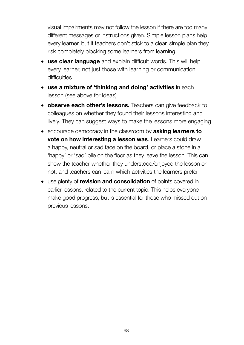visual impairments may not follow the lesson if there are too many different messages or instructions given. Simple lesson plans help every learner, but if teachers don't stick to a clear, simple plan they risk completely blocking some learners from learning

- **use clear language** and explain difficult words. This will help every learner, not just those with learning or communication difficulties
- **use a mixture of 'thinking and doing' activities** in each lesson (see above for ideas)
- **observe each other's lessons.** Teachers can give feedback to colleagues on whether they found their lessons interesting and lively. They can suggest ways to make the lessons more engaging
- encourage democracy in the classroom by **asking learners to vote on how interesting a lesson was**. Learners could draw a happy, neutral or sad face on the board, or place a stone in a 'happy' or 'sad' pile on the floor as they leave the lesson. This can show the teacher whether they understood/enjoyed the lesson or not, and teachers can learn which activities the learners prefer
- use plenty of **revision and consolidation** of points covered in earlier lessons, related to the current topic. This helps everyone make good progress, but is essential for those who missed out on previous lessons.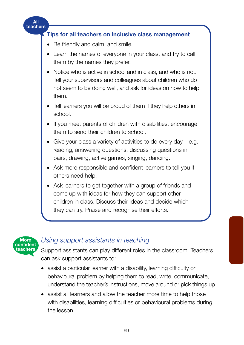



### *Using support assistants in teaching*

Support assistants can play different roles in the classroom. Teachers can ask support assistants to:

- assist a particular learner with a disability, learning difficulty or behavioural problem by helping them to read, write, communicate, understand the teacher's instructions, move around or pick things up
- assist all learners and allow the teacher more time to help those with disabilities, learning difficulties or behavioural problems during the lesson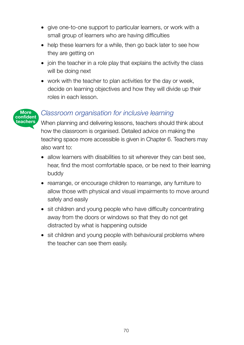- give one-to-one support to particular learners, or work with a small group of learners who are having difficulties
- help these learners for a while, then go back later to see how they are getting on
- join the teacher in a role play that explains the activity the class will be doing next
- work with the teacher to plan activities for the day or week. decide on learning objectives and how they will divide up their roles in each lesson.

#### **More confident teachers**

### *Classroom organisation for inclusive learning*

When planning and delivering lessons, teachers should think about how the classroom is organised. Detailed advice on making the teaching space more accessible is given in Chapter 6. Teachers may also want to:

- allow learners with disabilities to sit wherever they can best see, hear, find the most comfortable space, or be next to their learning buddy
- rearrange, or encourage children to rearrange, any furniture to allow those with physical and visual impairments to move around safely and easily
- sit children and young people who have difficulty concentrating away from the doors or windows so that they do not get distracted by what is happening outside
- sit children and young people with behavioural problems where the teacher can see them easily.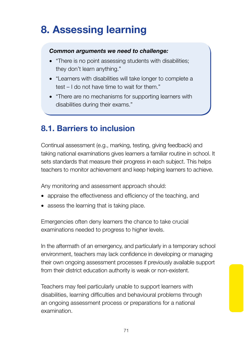# **8. Assessing learning**

#### *Common arguments we need to challenge:*

- "There is no point assessing students with disabilities; they don't learn anything."
- "Learners with disabilities will take longer to complete a test – I do not have time to wait for them."
- "There are no mechanisms for supporting learners with disabilities during their exams."

### **8.1. Barriers to inclusion**

Continual assessment (e.g., marking, testing, giving feedback) and taking national examinations gives learners a familiar routine in school. It sets standards that measure their progress in each subject. This helps teachers to monitor achievement and keep helping learners to achieve.

Any monitoring and assessment approach should:

- appraise the effectiveness and efficiency of the teaching, and
- assess the learning that is taking place.

Emergencies often deny learners the chance to take crucial examinations needed to progress to higher levels.

In the aftermath of an emergency, and particularly in a temporary school environment, teachers may lack confidence in developing or managing their own ongoing assessment processes if previously available support from their district education authority is weak or non-existent.

Teachers may feel particularly unable to support learners with disabilities, learning difficulties and behavioural problems through an ongoing assessment process or preparations for a national examination.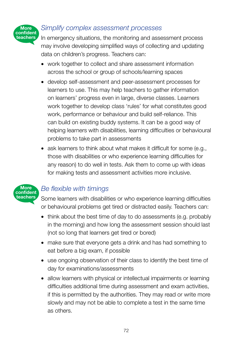#### **More confident teachers**

#### *Simplify complex assessment processes*

In emergency situations, the monitoring and assessment process may involve developing simplified ways of collecting and updating data on children's progress. Teachers can:

- work together to collect and share assessment information across the school or group of schools/learning spaces
- develop self-assessment and peer-assessment processes for learners to use. This may help teachers to gather information on learners' progress even in large, diverse classes. Learners work together to develop class 'rules' for what constitutes good work, performance or behaviour and build self-reliance. This can build on existing buddy systems. It can be a good way of helping learners with disabilities, learning difficulties or behavioural problems to take part in assessments
- ask learners to think about what makes it difficult for some (e.g., those with disabilities or who experience learning difficulties for any reason) to do well in tests. Ask them to come up with ideas for making tests and assessment activities more inclusive.



### *Be flexible with timings*

Some learners with disabilities or who experience learning difficulties or behavioural problems get tired or distracted easily. Teachers can:

- think about the best time of day to do assessments (e.g. probably in the morning) and how long the assessment session should last (not so long that learners get tired or bored)
- make sure that everyone gets a drink and has had something to eat before a big exam, if possible
- use ongoing observation of their class to identify the best time of day for examinations/assessments
- allow learners with physical or intellectual impairments or learning difficulties additional time during assessment and exam activities, if this is permitted by the authorities. They may read or write more slowly and may not be able to complete a test in the same time as others.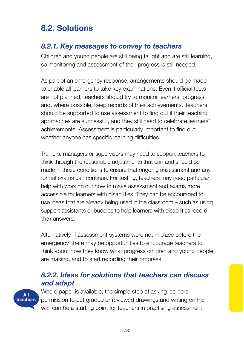## **8.2. Solutions**

### *8.2.1. Key messages to convey to teachers*

Children and young people are still being taught and are still learning, so monitoring and assessment of their progress is still needed.

As part of an emergency response, arrangements should be made to enable all learners to take key examinations. Even if official tests are not planned, teachers should try to monitor learners' progress and, where possible, keep records of their achievements. Teachers should be supported to use assessment to find out if their teaching approaches are successful, and they still need to celebrate learners' achievements. Assessment is particularly important to find out whether anyone has specific learning difficulties.

Trainers, managers or supervisors may need to support teachers to think through the reasonable adjustments that can and should be made in these conditions to ensure that ongoing assessment and any formal exams can continue. For testing, teachers may need particular help with working out how to make assessment and exams more accessible for learners with disabilities. They can be encouraged to use ideas that are already being used in the classroom – such as using support assistants or buddies to help learners with disabilities record their answers.

Alternatively, if assessment systems were not in place before the emergency, there may be opportunities to encourage teachers to think about how they know what progress children and young people are making, and to start recording their progress.

### *8.2.2. Ideas for solutions that teachers can discuss and adapt*



Where paper is available, the simple step of asking learners' permission to put graded or reviewed drawings and writing on the wall can be a starting point for teachers in practising assessment.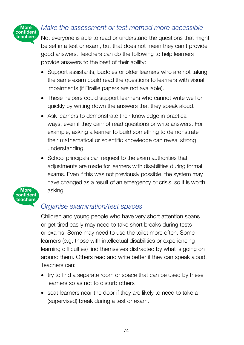

### *Make the assessment or test method more accessible*

Not everyone is able to read or understand the questions that might be set in a test or exam, but that does not mean they can't provide good answers. Teachers can do the following to help learners provide answers to the best of their ability:

- Support assistants, buddies or older learners who are not taking the same exam could read the questions to learners with visual impairments (if Braille papers are not available).
- These helpers could support learners who cannot write well or quickly by writing down the answers that they speak aloud.
- Ask learners to demonstrate their knowledge in practical ways, even if they cannot read questions or write answers. For example, asking a learner to build something to demonstrate their mathematical or scientific knowledge can reveal strong understanding.
- School principals can request to the exam authorities that adjustments are made for learners with disabilities during formal exams. Even if this was not previously possible, the system may have changed as a result of an emergency or crisis, so it is worth asking.



### *Organise examination/test spaces*

Children and young people who have very short attention spans or get tired easily may need to take short breaks during tests or exams. Some may need to use the toilet more often. Some learners (e.g. those with intellectual disabilities or experiencing learning difficulties) find themselves distracted by what is going on around them. Others read and write better if they can speak aloud. Teachers can:

- try to find a separate room or space that can be used by these learners so as not to disturb others
- seat learners near the door if they are likely to need to take a (supervised) break during a test or exam.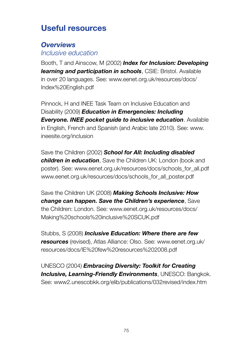## **Useful resources**

## *Overviews*

*Inclusive education*

Booth, T and Ainscow, M (2002) *Index for Inclusion: Developing learning and participation in schools*, CSIE: Bristol. Available in over 20 languages. See: www.eenet.org.uk/resources/docs/ Index%20English.pdf

Pinnock, H and INEE Task Team on Inclusive Education and Disability (2009) *Education in Emergencies: Including Everyone. INEE pocket guide to inclusive education*. Available in English, French and Spanish (and Arabic late 2010). See: www. ineesite.org/inclusion

Save the Children (2002) *School for All: Including disabled children in education*, Save the Children UK: London (book and poster). See: www.eenet.org.uk/resources/docs/schools\_for\_all.pdf www.eenet.org.uk/resources/docs/schools\_for\_all\_poster.pdf

Save the Children UK (2008) *Making Schools Inclusive: How change can happen. Save the Children's experience*, Save the Children: London. See: www.eenet.org.uk/resources/docs/ Making%20schools%20inclusive%20SCUK.pdf

Stubbs, S (2008) *Inclusive Education: Where there are few resources* (revised), Atlas Alliance: Olso. See: www.eenet.org.uk/ resources/docs/IE%20few%20resources%202008.pdf

UNESCO (2004) *Embracing Diversity: Toolkit for Creating Inclusive, Learning-Friendly Environments*, UNESCO: Bangkok. See: www2.unescobkk.org/elib/publications/032revised/index.htm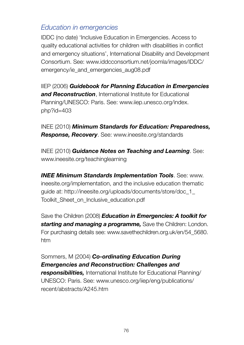### *Education in emergencies*

IDDC (no date) 'Inclusive Education in Emergencies. Access to quality educational activities for children with disabilities in conflict and emergency situations', International Disability and Development Consortium. See: www.iddcconsortium.net/joomla/images/IDDC/ emergency/ie\_and\_emergencies\_aug08.pdf

IIEP (2006) *Guidebook for Planning Education in Emergencies and Reconstruction*, International Institute for Educational Planning/UNESCO: Paris. See: www.iiep.unesco.org/index. php?id=403

INEE (2010) *Minimum Standards for Education: Preparedness, Response, Recovery*. See: www.ineesite.org/standards

INEE (2010) *Guidance Notes on Teaching and Learning*. See: www.ineesite.org/teachinglearning

*INEE Minimum Standards Implementation Tools*. See: www. ineesite.org/implementation, and the inclusive education thematic guide at: http://ineesite.org/uploads/documents/store/doc\_1\_ Toolkit\_Sheet\_on\_Inclusive\_education.pdf

Save the Children (2008) *Education in Emergencies: A toolkit for starting and managing a programme,* Save the Children: London. For purchasing details see: www.savethechildren.org.uk/en/54\_5680. htm

Sommers, M (2004) *Co-ordinating Education During Emergencies and Reconstruction: Challenges and responsibilities,* International Institute for Educational Planning/ UNESCO: Paris. See: www.unesco.org/iiep/eng/publications/ recent/abstracts/A245.htm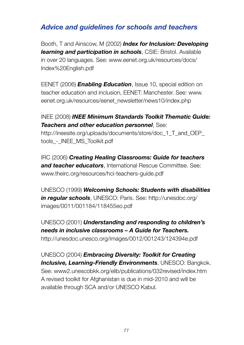### *Advice and guidelines for schools and teachers*

Booth, T and Ainscow, M (2002) *Index for Inclusion: Developing learning and participation in schools*, CSIE: Bristol. Available in over 20 languages. See: www.eenet.org.uk/resources/docs/ Index%20English.pdf

EENET (2006) *Enabling Education*, Issue 10, special edition on teacher education and inclusion, EENET: Manchester. See: www. eenet.org.uk/resources/eenet\_newsletter/news10/index.php

#### INEE (2008) *INEE Minimum Standards Toolkit Thematic Guide: Teachers and other education personnel*, See:

http://ineesite.org/uploads/documents/store/doc\_1\_T\_and\_OEP\_ tools - INEE MS Toolkit.pdf

IRC (2006) *Creating Healing Classrooms: Guide for teachers and teacher educators*, International Rescue Committee. See: www.theirc.org/resources/hci-teachers-guide.pdf

UNESCO (1999) *Welcoming Schools: Students with disabilities in regular schools*, UNESCO: Paris. See: http://unesdoc.org/ images/0011/001184/118455eo.pdf

UNESCO (2001) *Understanding and responding to children's needs in inclusive classrooms – A Guide for Teachers.* http://unesdoc.unesco.org/images/0012/001243/124394e.pdf

UNESCO (2004) *Embracing Diversity: Toolkit for Creating Inclusive, Learning-Friendly Environments*, UNESCO: Bangkok. See: www2.unescobkk.org/elib/publications/032revised/index.htm A revised toolkit for Afghanistan is due in mid-2010 and will be available through SCA and/or UNESCO Kabul.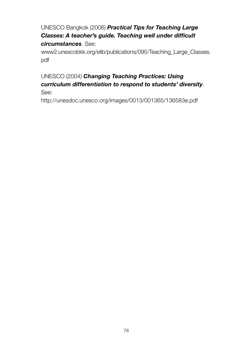UNESCO Bangkok (2006) *Practical Tips for Teaching Large Classes: A teacher's guide. Teaching well under difficult circumstances*. See:

www2.unescobkk.org/elib/publications/095/Teaching\_Large\_Classes. pdf

#### UNESCO (2004) *Changing Teaching Practices: Using curriculum differentiation to respond to students' diversity*. See:

http://unesdoc.unesco.org/images/0013/001365/136583e.pdf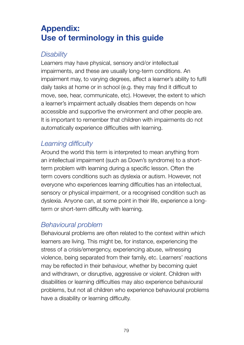### **Appendix: Use of terminology in this guide**

#### *Disability*

Learners may have physical, sensory and/or intellectual impairments, and these are usually long-term conditions. An impairment may, to varying degrees, affect a learner's ability to fulfil daily tasks at home or in school (e.g. they may find it difficult to move, see, hear, communicate, etc). However, the extent to which a learner's impairment actually disables them depends on how accessible and supportive the environment and other people are. It is important to remember that children with impairments do not automatically experience difficulties with learning.

### *Learning difficulty*

Around the world this term is interpreted to mean anything from an intellectual impairment (such as Down's syndrome) to a shortterm problem with learning during a specific lesson. Often the term covers conditions such as dyslexia or autism. However, not everyone who experiences learning difficulties has an intellectual, sensory or physical impairment, or a recognised condition such as dyslexia. Anyone can, at some point in their life, experience a longterm or short-term difficulty with learning.

### *Behavioural problem*

Behavioural problems are often related to the context within which learners are living. This might be, for instance, experiencing the stress of a crisis/emergency, experiencing abuse, witnessing violence, being separated from their family, etc. Learners' reactions may be reflected in their behaviour, whether by becoming quiet and withdrawn, or disruptive, aggressive or violent. Children with disabilities or learning difficulties may also experience behavioural problems, but not all children who experience behavioural problems have a disability or learning difficulty.